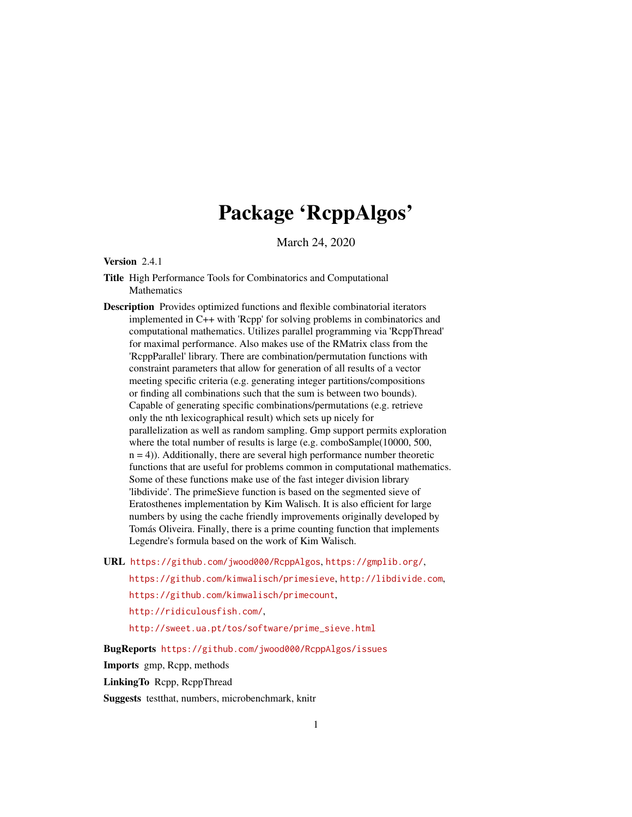# Package 'RcppAlgos'

March 24, 2020

# <span id="page-0-0"></span>Version 2.4.1

Title High Performance Tools for Combinatorics and Computational Mathematics

Description Provides optimized functions and flexible combinatorial iterators implemented in C++ with 'Rcpp' for solving problems in combinatorics and computational mathematics. Utilizes parallel programming via 'RcppThread' for maximal performance. Also makes use of the RMatrix class from the 'RcppParallel' library. There are combination/permutation functions with constraint parameters that allow for generation of all results of a vector meeting specific criteria (e.g. generating integer partitions/compositions or finding all combinations such that the sum is between two bounds). Capable of generating specific combinations/permutations (e.g. retrieve only the nth lexicographical result) which sets up nicely for parallelization as well as random sampling. Gmp support permits exploration where the total number of results is large (e.g. comboSample(10000, 500,  $n = 4$ ). Additionally, there are several high performance number theoretic functions that are useful for problems common in computational mathematics. Some of these functions make use of the fast integer division library 'libdivide'. The primeSieve function is based on the segmented sieve of Eratosthenes implementation by Kim Walisch. It is also efficient for large numbers by using the cache friendly improvements originally developed by Tomás Oliveira. Finally, there is a prime counting function that implements Legendre's formula based on the work of Kim Walisch.

URL <https://github.com/jwood000/RcppAlgos>, <https://gmplib.org/>,

<https://github.com/kimwalisch/primesieve>, <http://libdivide.com>,

<https://github.com/kimwalisch/primecount>,

<http://ridiculousfish.com/>,

[http://sweet.ua.pt/tos/software/prime\\_sieve.html](http://sweet.ua.pt/tos/software/prime_sieve.html)

BugReports <https://github.com/jwood000/RcppAlgos/issues>

Imports gmp, Rcpp, methods

LinkingTo Rcpp, RcppThread

Suggests testthat, numbers, microbenchmark, knitr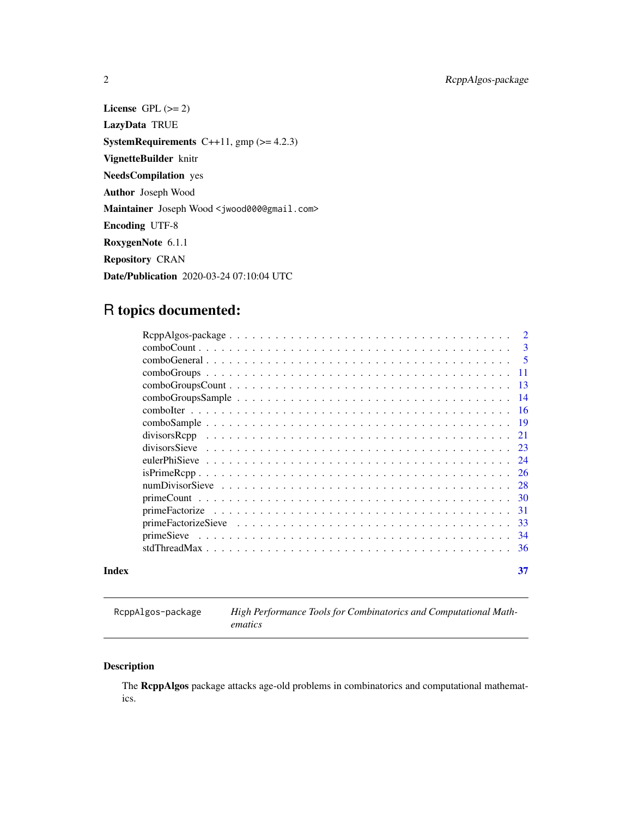<span id="page-1-0"></span>2 RcppAlgos-package

License GPL  $(>= 2)$ LazyData TRUE **SystemRequirements** C++11,  $gmp$  ( $>= 4.2.3$ ) VignetteBuilder knitr NeedsCompilation yes Author Joseph Wood Maintainer Joseph Wood <jwood000@gmail.com> Encoding UTF-8 RoxygenNote 6.1.1 Repository CRAN Date/Publication 2020-03-24 07:10:04 UTC

# R topics documented:

|       | 21  |
|-------|-----|
|       |     |
|       |     |
|       |     |
|       |     |
|       |     |
|       |     |
|       |     |
|       |     |
|       | -36 |
| Index | 37  |

RcppAlgos-package *High Performance Tools for Combinatorics and Computational Mathematics*

# Description

The RcppAlgos package attacks age-old problems in combinatorics and computational mathematics.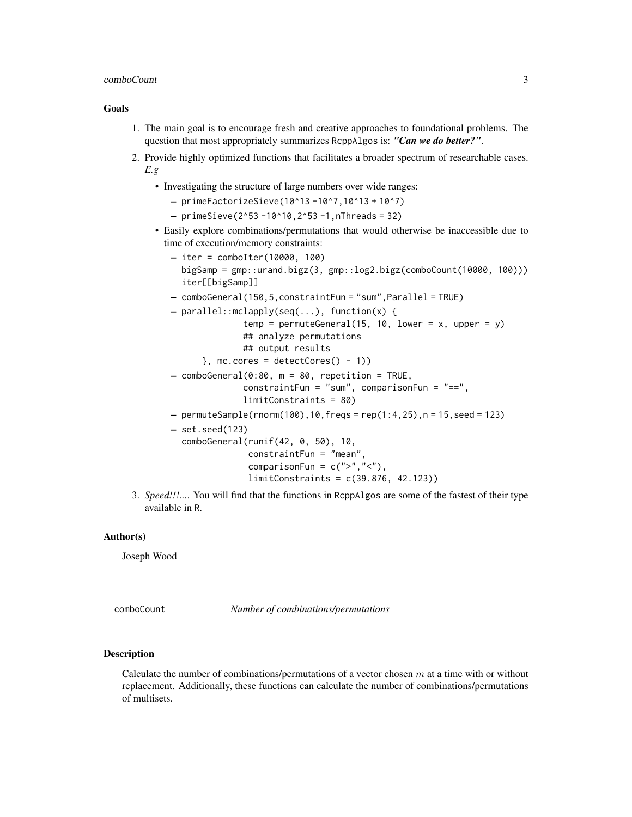#### <span id="page-2-0"></span>comboCount 3

# Goals

- 1. The main goal is to encourage fresh and creative approaches to foundational problems. The question that most appropriately summarizes RcppAlgos is: *"Can we do better?"*.
- 2. Provide highly optimized functions that facilitates a broader spectrum of researchable cases. *E.g*
	- Investigating the structure of large numbers over wide ranges:
		- primeFactorizeSieve(10^13 -10^7,10^13 + 10^7)
		- $-$  primeSieve(2^53 -10^10,2^53 -1,nThreads = 32)
	- Easily explore combinations/permutations that would otherwise be inaccessible due to time of execution/memory constraints:
		- iter = comboIter(10000, 100) bigSamp = gmp::urand.bigz(3, gmp::log2.bigz(comboCount(10000, 100))) iter[[bigSamp]]
		- comboGeneral(150,5,constraintFun = "sum",Parallel = TRUE)
		- parallel::mclapply(seq(...), function(x) {
			- temp = permuteGeneral(15, 10, lower =  $x$ , upper =  $y$ ) ## analyze permutations ## output results
				-
				- $\}$ , mc.cores = detectCores() 1))
		- $-$  comboGeneral(0:80,  $m = 80$ , repetition = TRUE, constraintFun = "sum", comparisonFun = "==", limitConstraints = 80)
		- $-$  permuteSample(rnorm(100),10, freqs = rep(1:4, 25), n = 15, seed = 123)
		- set.seed(123)

```
comboGeneral(runif(42, 0, 50), 10,
             constraintFun = "mean",
             comparisonFun = c(">}", "<"),
             limitConstraints = c(39.876, 42.123))
```
3. *Speed!!!...*. You will find that the functions in RcppAlgos are some of the fastest of their type available in R.

# Author(s)

Joseph Wood

comboCount *Number of combinations/permutations*

# **Description**

Calculate the number of combinations/permutations of a vector chosen  $m$  at a time with or without replacement. Additionally, these functions can calculate the number of combinations/permutations of multisets.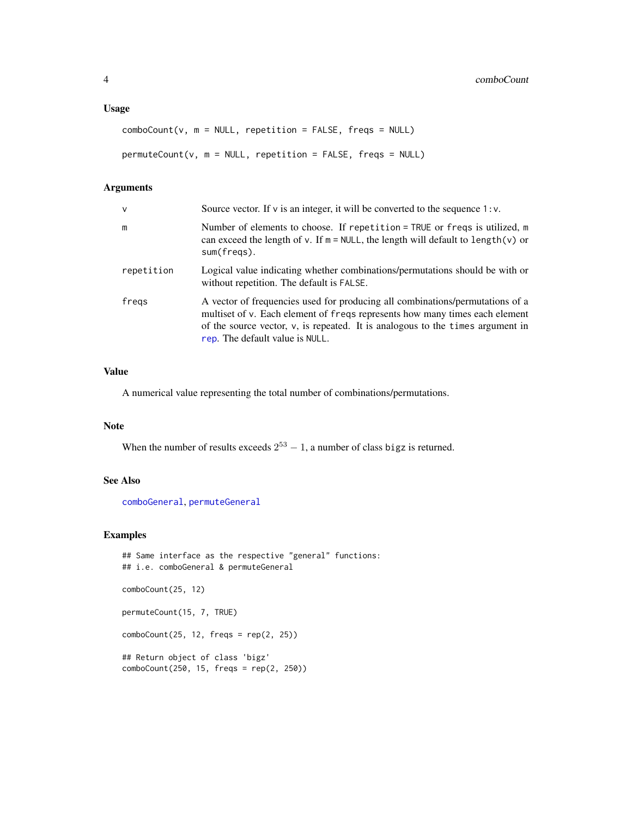# <span id="page-3-0"></span>Usage

```
comboCount(v, m = NULL, repetition = FALSE, freqs = NULL)permuteCount(v, m = NULL, repetition = FALSE, freqs = NULL)
```
# Arguments

| v          | Source vector. If $\nu$ is an integer, it will be converted to the sequence 1: $\nu$ .                                                                                                                                                                                               |
|------------|--------------------------------------------------------------------------------------------------------------------------------------------------------------------------------------------------------------------------------------------------------------------------------------|
| m          | Number of elements to choose. If repetition = TRUE or freqs is utilized, m<br>can exceed the length of v. If $m = NULL$ , the length will default to length(v) or<br>sum(freqs).                                                                                                     |
| repetition | Logical value indicating whether combinations/permutations should be with or<br>without repetition. The default is FALSE.                                                                                                                                                            |
| fregs      | A vector of frequencies used for producing all combinations/permutations of a<br>multiset of v. Each element of freqs represents how many times each element<br>of the source vector, $v$ , is repeated. It is analogous to the times argument in<br>rep. The default value is NULL. |

# Value

A numerical value representing the total number of combinations/permutations.

# Note

When the number of results exceeds  $2^{53} - 1$ , a number of class bigz is returned.

# See Also

[comboGeneral](#page-4-1), [permuteGeneral](#page-4-2)

```
## Same interface as the respective "general" functions:
## i.e. comboGeneral & permuteGeneral
comboCount(25, 12)
permuteCount(15, 7, TRUE)
comboCount(25, 12, freqs = rep(2, 25))
## Return object of class 'bigz'
comboCount(250, 15, freqs = rep(2, 250))
```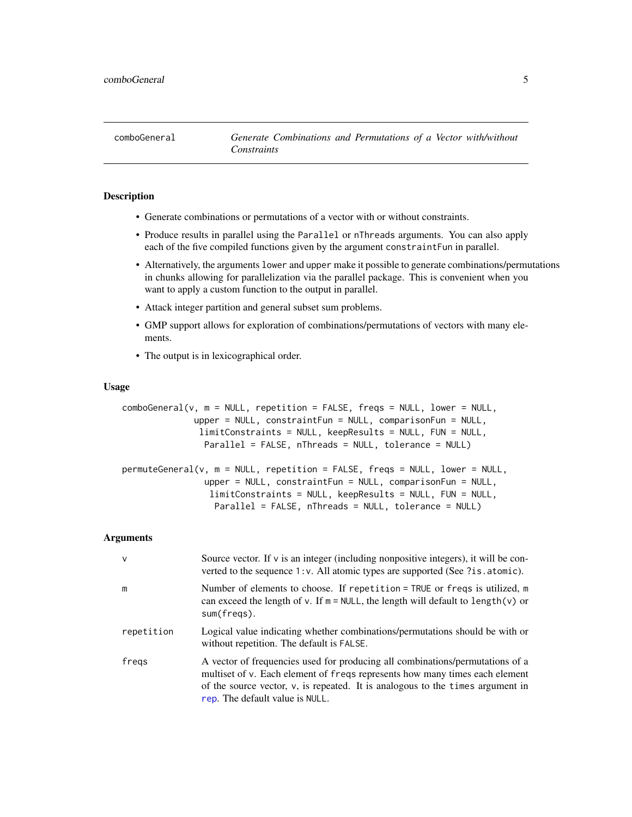<span id="page-4-1"></span><span id="page-4-0"></span>comboGeneral *Generate Combinations and Permutations of a Vector with/without Constraints*

# <span id="page-4-2"></span>**Description**

- Generate combinations or permutations of a vector with or without constraints.
- Produce results in parallel using the Parallel or nThreads arguments. You can also apply each of the five compiled functions given by the argument constraintFun in parallel.
- Alternatively, the arguments lower and upper make it possible to generate combinations/permutations in chunks allowing for parallelization via the parallel package. This is convenient when you want to apply a custom function to the output in parallel.
- Attack integer partition and general subset sum problems.
- GMP support allows for exploration of combinations/permutations of vectors with many elements.
- The output is in lexicographical order.

#### Usage

```
comboGeneral(v, m = NULL, repetition = FALSE, freqs = NULL, lower = NULL,
             upper = NULL, constraintFun = NULL, comparisonFun = NULL,
               limitConstraints = NULL, keepResults = NULL, FUN = NULL,
               Parallel = FALSE, nThreads = NULL, tolerance = NULL)
permuteGeneral(v, m = NULL, repetition = FALSE, freqs = NULL, lower = NULL,
                upper = NULL, constraintFun = NULL, comparisonFun = NULL,
                 limitConstraints = NULL, keepResults = NULL, FUN = NULL,
                  Parallel = FALSE, nThreads = NULL, tolerance = NULL)
```
#### Arguments

| $\mathsf{v}$ | Source vector. If $\nu$ is an integer (including nonpositive integers), it will be con-<br>verted to the sequence 1: v. All atomic types are supported (See ?is.atomic).                                                                                                             |
|--------------|--------------------------------------------------------------------------------------------------------------------------------------------------------------------------------------------------------------------------------------------------------------------------------------|
| m            | Number of elements to choose. If repetition = TRUE or freqs is utilized, m<br>can exceed the length of v. If $m = NULL$ , the length will default to length(v) or<br>sum(freqs).                                                                                                     |
| repetition   | Logical value indicating whether combinations/permutations should be with or<br>without repetition. The default is FALSE.                                                                                                                                                            |
| fregs        | A vector of frequencies used for producing all combinations/permutations of a<br>multiset of v. Each element of freqs represents how many times each element<br>of the source vector, $v$ , is repeated. It is analogous to the times argument in<br>rep. The default value is NULL. |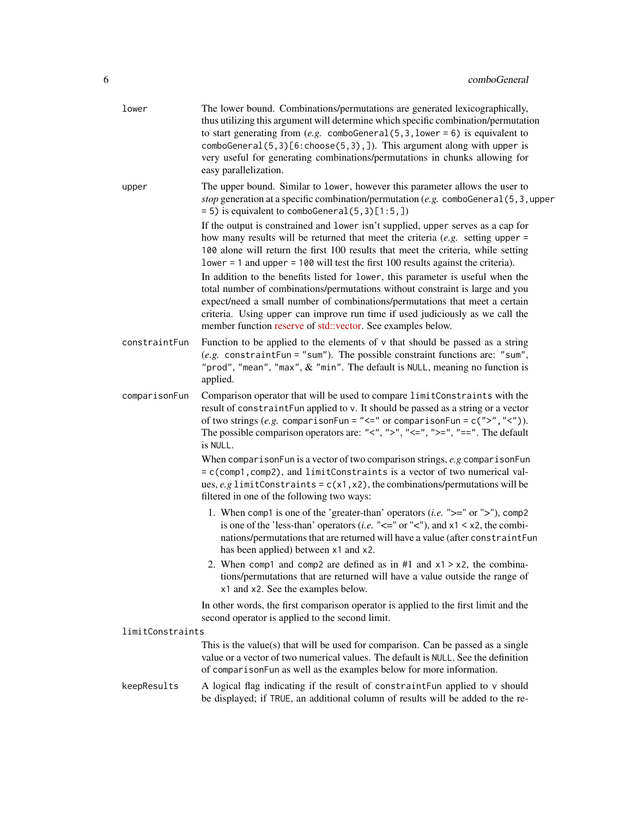| lower            | The lower bound. Combinations/permutations are generated lexicographically,<br>thus utilizing this argument will determine which specific combination/permutation<br>to start generating from $(e.g. \text{ combofeneral}(5,3,1)$ ower = 6) is equivalent to<br>comboGeneral(5,3)[6:choose(5,3),]). This argument along with upper is<br>very useful for generating combinations/permutations in chunks allowing for<br>easy parallelization. |
|------------------|-----------------------------------------------------------------------------------------------------------------------------------------------------------------------------------------------------------------------------------------------------------------------------------------------------------------------------------------------------------------------------------------------------------------------------------------------|
| upper            | The upper bound. Similar to lower, however this parameter allows the user to<br>stop generation at a specific combination/permutation (e.g. comboGeneral $(5, 3,$ upper<br>$= 5$ ) is equivalent to comboGeneral $(5, 3)$ [1:5,])                                                                                                                                                                                                             |
|                  | If the output is constrained and lower isn't supplied, upper serves as a cap for<br>how many results will be returned that meet the criteria $(e.g.$ setting upper =<br>100 alone will return the first 100 results that meet the criteria, while setting<br>$lower = 1$ and upper = 100 will test the first 100 results against the criteria).                                                                                               |
|                  | In addition to the benefits listed for lower, this parameter is useful when the<br>total number of combinations/permutations without constraint is large and you<br>expect/need a small number of combinations/permutations that meet a certain<br>criteria. Using upper can improve run time if used judiciously as we call the<br>member function reserve of std::vector. See examples below.                                               |
| constraintFun    | Function to be applied to the elements of $\nu$ that should be passed as a string<br>(e.g. constraintFun = "sum"). The possible constraint functions are: "sum",<br>"prod", "mean", "max", & "min". The default is NULL, meaning no function is<br>applied.                                                                                                                                                                                   |
| comparisonFun    | Comparison operator that will be used to compare limitConstraints with the<br>result of constraintFun applied to v. It should be passed as a string or a vector<br>of two strings (e.g. comparisonFun = " $\leq$ " or comparisonFun = c(">"," $\leq$ ")).<br>The possible comparison operators are: "<", ">", "<=", ">=", "==". The default<br>is NULL.                                                                                       |
|                  | When comparison Fun is a vector of two comparison strings, $e.g$ comparison Fun<br>= c(comp1, comp2), and limitConstraints is a vector of two numerical val-<br>ues, e.g limitConstraints = $c(x1, x2)$ , the combinations/permutations will be<br>filtered in one of the following two ways:                                                                                                                                                 |
|                  | 1. When comp1 is one of the 'greater-than' operators ( <i>i.e.</i> " $>=$ " or " $>$ "), comp2<br>is one of the 'less-than' operators ( <i>i.e.</i> " $\lt$ =" or " $\lt$ "), and x1 $\lt$ x2, the combi-<br>nations/permutations that are returned will have a value (after constraintFun<br>has been applied) between x1 and x2.                                                                                                            |
|                  | 2. When comp1 and comp2 are defined as in $#1$ and $x1 > x2$ , the combina-<br>tions/permutations that are returned will have a value outside the range of<br>x1 and x2. See the examples below.                                                                                                                                                                                                                                              |
|                  | In other words, the first comparison operator is applied to the first limit and the<br>second operator is applied to the second limit.                                                                                                                                                                                                                                                                                                        |
| limitConstraints |                                                                                                                                                                                                                                                                                                                                                                                                                                               |
|                  | This is the value(s) that will be used for comparison. Can be passed as a single<br>value or a vector of two numerical values. The default is NULL. See the definition<br>of comparisonFun as well as the examples below for more information.                                                                                                                                                                                                |
| keepResults      | A logical flag indicating if the result of constraintFun applied to v should<br>be displayed; if TRUE, an additional column of results will be added to the re-                                                                                                                                                                                                                                                                               |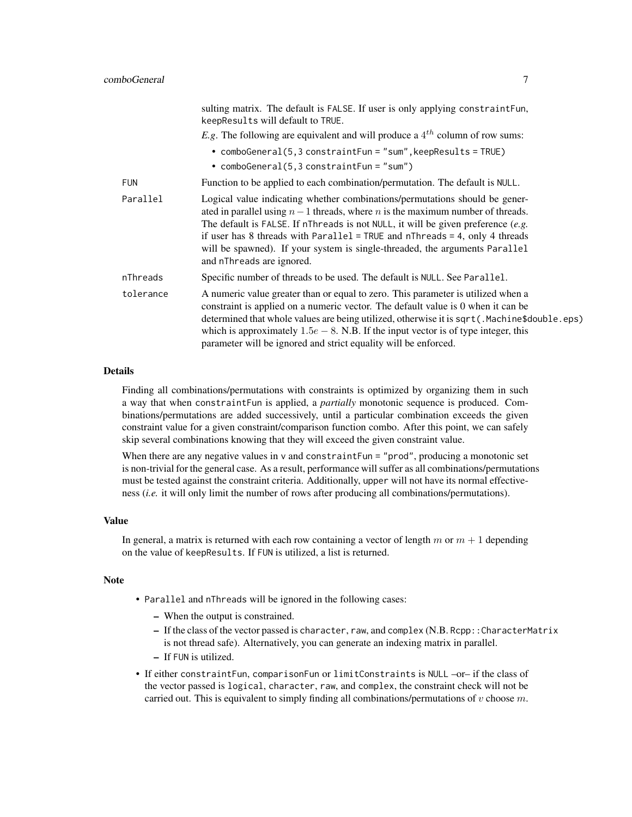|            | sulting matrix. The default is FALSE. If user is only applying constraintFun,<br>keepResults will default to TRUE.                                                                                                                                                                                                                                                                                                                               |
|------------|--------------------------------------------------------------------------------------------------------------------------------------------------------------------------------------------------------------------------------------------------------------------------------------------------------------------------------------------------------------------------------------------------------------------------------------------------|
|            | <i>E.g.</i> The following are equivalent and will produce a $4^{th}$ column of row sums:                                                                                                                                                                                                                                                                                                                                                         |
|            | • comboGeneral(5,3 constraintFun = "sum", keepResults = TRUE)<br>• $comboGeneral(5,3 constraintFun="sum")$                                                                                                                                                                                                                                                                                                                                       |
| <b>FUN</b> | Function to be applied to each combination/permutation. The default is NULL.                                                                                                                                                                                                                                                                                                                                                                     |
| Parallel   | Logical value indicating whether combinations/permutations should be gener-<br>ated in parallel using $n-1$ threads, where n is the maximum number of threads.<br>The default is FALSE. If nThreads is not NULL, it will be given preference (e.g.<br>if user has 8 threads with Parallel = TRUE and $n$ Threads = 4, only 4 threads<br>will be spawned). If your system is single-threaded, the arguments Parallel<br>and nThreads are ignored. |
| nThreads   | Specific number of threads to be used. The default is NULL. See Parallel.                                                                                                                                                                                                                                                                                                                                                                        |
| tolerance  | A numeric value greater than or equal to zero. This parameter is utilized when a<br>constraint is applied on a numeric vector. The default value is 0 when it can be<br>determined that whole values are being utilized, otherwise it is sqrt(.Machine\$double.eps)<br>which is approximately $1.5e - 8$ . N.B. If the input vector is of type integer, this<br>parameter will be ignored and strict equality will be enforced.                  |

# **Details**

Finding all combinations/permutations with constraints is optimized by organizing them in such a way that when constraintFun is applied, a *partially* monotonic sequence is produced. Combinations/permutations are added successively, until a particular combination exceeds the given constraint value for a given constraint/comparison function combo. After this point, we can safely skip several combinations knowing that they will exceed the given constraint value.

When there are any negative values in v and constraintFun = "prod", producing a monotonic set is non-trivial for the general case. As a result, performance will suffer as all combinations/permutations must be tested against the constraint criteria. Additionally, upper will not have its normal effectiveness (*i.e.* it will only limit the number of rows after producing all combinations/permutations).

#### Value

In general, a matrix is returned with each row containing a vector of length m or  $m + 1$  depending on the value of keepResults. If FUN is utilized, a list is returned.

#### Note

- Parallel and nThreads will be ignored in the following cases:
	- When the output is constrained.
	- If the class of the vector passed is character, raw, and complex (N.B. Rcpp::CharacterMatrix is not thread safe). Alternatively, you can generate an indexing matrix in parallel.
	- If FUN is utilized.
- If either constraintFun, comparisonFun or limitConstraints is NULL –or– if the class of the vector passed is logical, character, raw, and complex, the constraint check will not be carried out. This is equivalent to simply finding all combinations/permutations of  $v$  choose  $m$ .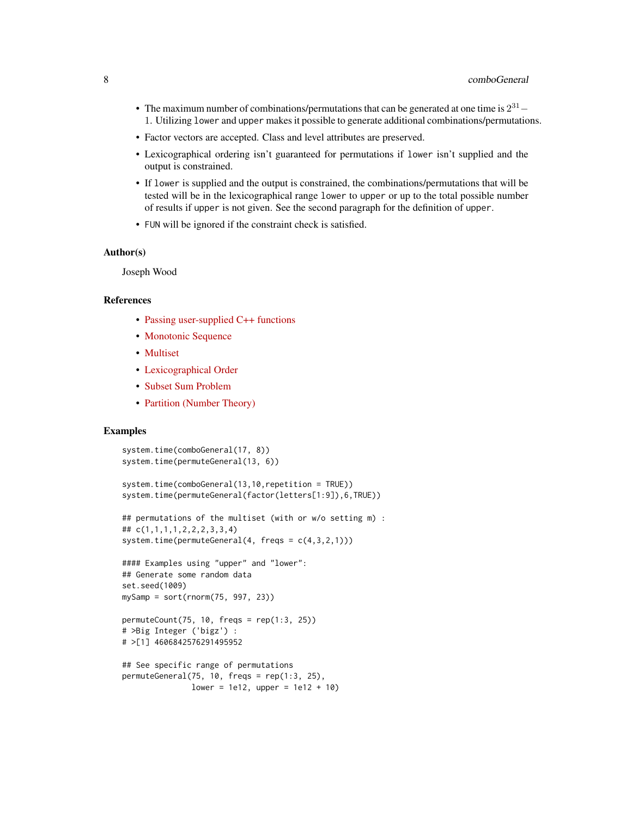- The maximum number of combinations/permutations that can be generated at one time is  $2^{31}$  1. Utilizing lower and upper makes it possible to generate additional combinations/permutations.
- Factor vectors are accepted. Class and level attributes are preserved.
- Lexicographical ordering isn't guaranteed for permutations if lower isn't supplied and the output is constrained.
- If lower is supplied and the output is constrained, the combinations/permutations that will be tested will be in the lexicographical range lower to upper or up to the total possible number of results if upper is not given. See the second paragraph for the definition of upper.
- FUN will be ignored if the constraint check is satisfied.

#### Author(s)

Joseph Wood

# References

- [Passing user-supplied C++ functions](http://gallery.rcpp.org/articles/passing-cpp-function-pointers/)
- [Monotonic Sequence](https://en.wikipedia.org/wiki/Monotonic_function)
- [Multiset](https://en.wikipedia.org/wiki/Multiset)
- [Lexicographical Order](https://en.wikipedia.org/wiki/Lexicographical_order)
- [Subset Sum Problem](https://en.wikipedia.org/wiki/Subset_sum_problem)
- [Partition \(Number Theory\)](https://en.wikipedia.org/wiki/Partition_(number_theory))

system.time(comboGeneral(17, 8))

```
system.time(permuteGeneral(13, 6))
system.time(comboGeneral(13,10,repetition = TRUE))
system.time(permuteGeneral(factor(letters[1:9]),6,TRUE))
## permutations of the multiset (with or w/o setting m) :
## c(1,1,1,1,2,2,2,3,3,4)
system.time(permuteGeneral(4, freqs = c(4,3,2,1)))
#### Examples using "upper" and "lower":
## Generate some random data
set.seed(1009)
mySamp = sort(rnorm(75, 997, 23))
permuteCount(75, 10, freqs = rep(1:3, 25))
# >Big Integer ('bigz') :
# >[1] 4606842576291495952
## See specific range of permutations
permuteGeneral(75, 10, freqs = rep(1:3, 25),
              lower = 1e12, upper = 1e12 + 10)
```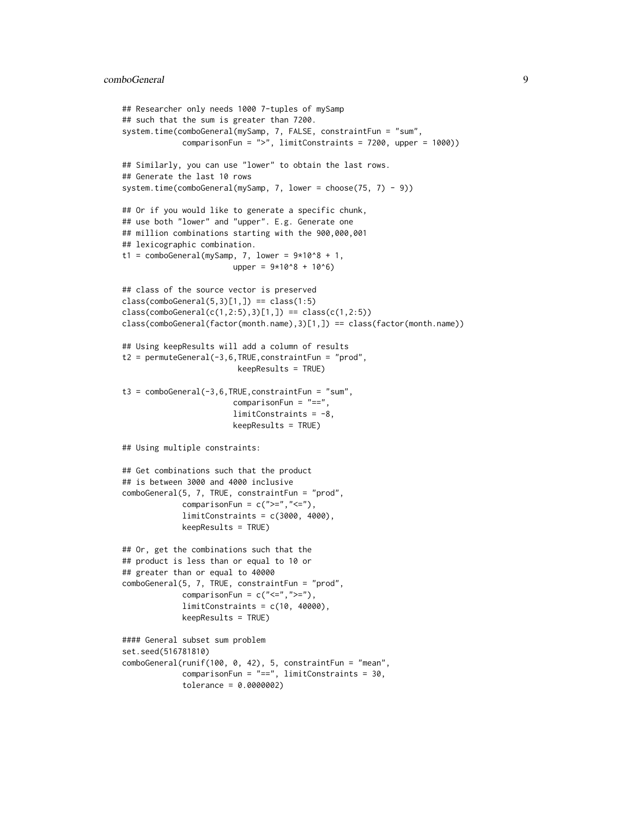```
## Researcher only needs 1000 7-tuples of mySamp
## such that the sum is greater than 7200.
system.time(comboGeneral(mySamp, 7, FALSE, constraintFun = "sum",
             comparisonFun = ">", limitConstraints = 7200, upper = 1000))
## Similarly, you can use "lower" to obtain the last rows.
## Generate the last 10 rows
system.time(comboGeneral(mySamp, 7, lower = choose(75, 7) - 9))
## Or if you would like to generate a specific chunk,
## use both "lower" and "upper". E.g. Generate one
## million combinations starting with the 900,000,001
## lexicographic combination.
t1 = comboGeneral(mySamp, 7, lower = <math>9*10^8 + 1</math>,upper = 9*10^8 + 10^6)
## class of the source vector is preserved
class(comboGeneral(5,3)[1,]) == class(1:5)class(comboGeneral(c(1,2:5),3)[1,]) == class(c(1,2:5))class(comboGeneral(factor(month.name),3)[1,]) == class(factor(month.name))
## Using keepResults will add a column of results
t2 = permuteGeneral(-3,6,TRUE,constraintFun = "prod",
                         keepResults = TRUE)
t3 = comboGeneral(-3,6,TRUE,constraintFun = "sum",
                        comparisonFun = "==",
                        limitConstraints = -8,
                        keepResults = TRUE)
## Using multiple constraints:
## Get combinations such that the product
## is between 3000 and 4000 inclusive
comboGeneral(5, 7, TRUE, constraintFun = "prod",
             comparisonFun = c(">=", "<="),
             limitConstraints = c(3000, 4000),keepResults = TRUE)
## Or, get the combinations such that the
## product is less than or equal to 10 or
## greater than or equal to 40000
comboGeneral(5, 7, TRUE, constraintFun = "prod",
             comparisonFun = c("<=", ">="),
             limitConstraints = c(10, 40000),keepResults = TRUE)
#### General subset sum problem
set.seed(516781810)
comboGeneral(runif(100, 0, 42), 5, constraintFun = "mean",
             comparisonFun = "==", limitConstraints = 30,
             tolerance = 0.0000002)
```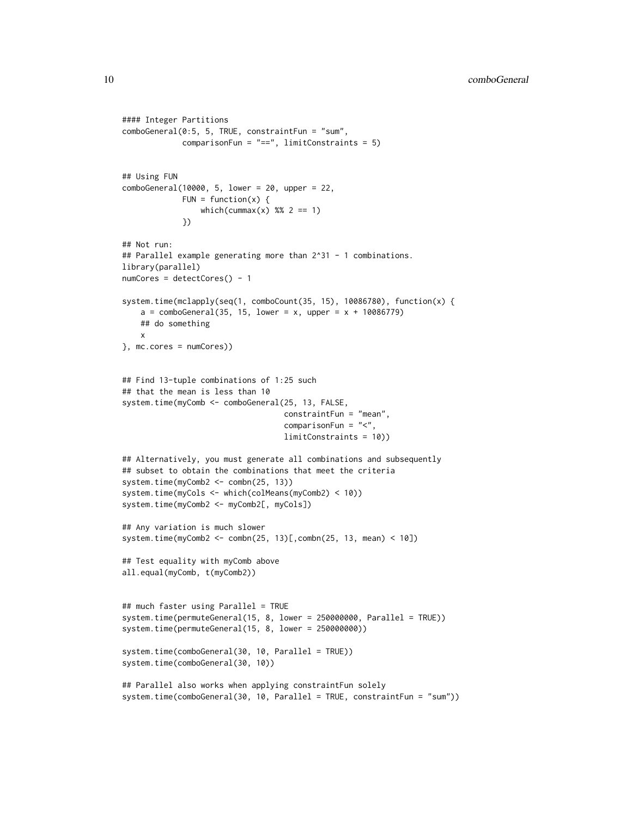```
#### Integer Partitions
comboGeneral(0:5, 5, TRUE, constraintFun = "sum",
             comparisonFun = "==", limitConstraints = 5)
## Using FUN
comboGeneral(10000, 5, lower = 20, upper = 22,
             FUN = function(x) {
                 which(cummax(x) %% 2 == 1)
             })
## Not run:
## Parallel example generating more than 2^31 - 1 combinations.
library(parallel)
numCores = detectCores() - 1
system.time(mclapply(seq(1, comboCount(35, 15), 10086780), function(x) {
   a = comboGeneral(35, 15, lower = x, upper = x + 10086779)## do something
   x
}, mc.cores = numCores))
## Find 13-tuple combinations of 1:25 such
## that the mean is less than 10
system.time(myComb <- comboGeneral(25, 13, FALSE,
                                   constraintFun = "mean",
                                   comparisonFun = "<",
                                   limitConstraints = 10))
## Alternatively, you must generate all combinations and subsequently
## subset to obtain the combinations that meet the criteria
system.time(myComb2 <- combn(25, 13))
system.time(myCols <- which(colMeans(myComb2) < 10))
system.time(myComb2 <- myComb2[, myCols])
## Any variation is much slower
system.time(myComb2 <- combn(25, 13)[,combn(25, 13, mean) < 10])
## Test equality with myComb above
all.equal(myComb, t(myComb2))
## much faster using Parallel = TRUE
system.time(permuteGeneral(15, 8, lower = 250000000, Parallel = TRUE))
system.time(permuteGeneral(15, 8, lower = 250000000))
system.time(comboGeneral(30, 10, Parallel = TRUE))
system.time(comboGeneral(30, 10))
## Parallel also works when applying constraintFun solely
system.time(comboGeneral(30, 10, Parallel = TRUE, constraintFun = "sum"))
```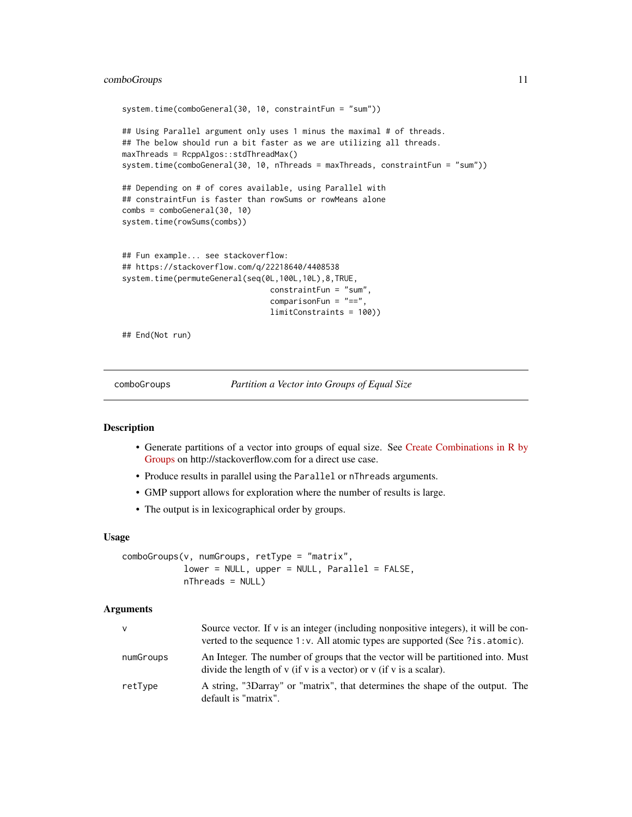# <span id="page-10-0"></span>comboGroups 11

```
system.time(comboGeneral(30, 10, constraintFun = "sum"))
## Using Parallel argument only uses 1 minus the maximal # of threads.
## The below should run a bit faster as we are utilizing all threads.
maxThreads = RcppAlgos::stdThreadMax()
system.time(comboGeneral(30, 10, nThreads = maxThreads, constraintFun = "sum"))
## Depending on # of cores available, using Parallel with
## constraintFun is faster than rowSums or rowMeans alone
combs = comboGeneral(30, 10)
system.time(rowSums(combs))
## Fun example... see stackoverflow:
## https://stackoverflow.com/q/22218640/4408538
system.time(permuteGeneral(seq(0L,100L,10L),8,TRUE,
                                constraintFun = "sum",
                                comparisonFun = "==",
                                limitConstraints = 100))
```
## End(Not run)

comboGroups *Partition a Vector into Groups of Equal Size*

#### **Description**

- Generate partitions of a vector into groups of equal size. See [Create Combinations in R by](https://stackoverflow.com/q/57732672/4408538) [Groups](https://stackoverflow.com/q/57732672/4408538) on http://stackoverflow.com for a direct use case.
- Produce results in parallel using the Parallel or nThreads arguments.
- GMP support allows for exploration where the number of results is large.
- The output is in lexicographical order by groups.

#### Usage

```
comboGroups(v, numGroups, retType = "matrix",
           lower = NULL, upper = NULL, Parallel = FALSE,
           nThreads = NULL
```
#### **Arguments**

| v         | Source vector. If $\nu$ is an integer (including nonpositive integers), it will be con-<br>verted to the sequence $1$ : v. All atomic types are supported (See ?is.atomic). |
|-----------|-----------------------------------------------------------------------------------------------------------------------------------------------------------------------------|
| numGroups | An Integer. The number of groups that the vector will be partitioned into. Must<br>divide the length of $v$ (if $v$ is a vector) or $v$ (if $v$ is a scalar).               |
| retType   | A string, "3Darray" or "matrix", that determines the shape of the output. The<br>default is "matrix".                                                                       |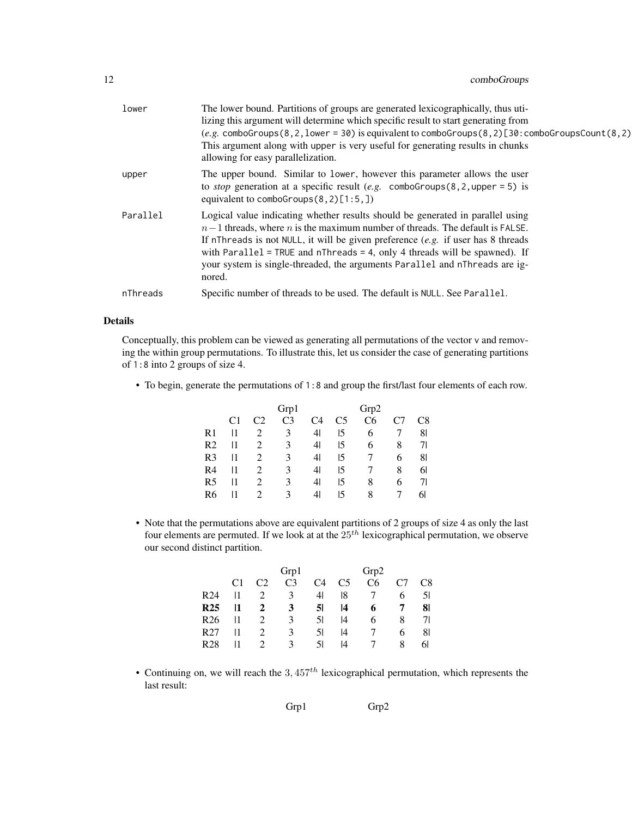| lower    | The lower bound. Partitions of groups are generated lexicographically, thus uti-                                                                                                                                                                                                                                                                                                                                                 |
|----------|----------------------------------------------------------------------------------------------------------------------------------------------------------------------------------------------------------------------------------------------------------------------------------------------------------------------------------------------------------------------------------------------------------------------------------|
|          | lizing this argument will determine which specific result to start generating from<br>$(e.g. \text{comboGroups}(8, 2, 1)$ ower = 30) is equivalent to comboGroups $(8, 2)$ [30: comboGroupsCount $(8, 2)$ ]<br>This argument along with upper is very useful for generating results in chunks                                                                                                                                    |
|          | allowing for easy parallelization.                                                                                                                                                                                                                                                                                                                                                                                               |
| upper    | The upper bound. Similar to lower, however this parameter allows the user<br>to <i>stop</i> generation at a specific result (e.g. comboGroups(8,2, upper = 5) is<br>equivalent to comboGroups $(8, 2)$ [1:5,])                                                                                                                                                                                                                   |
| Parallel | Logical value indicating whether results should be generated in parallel using<br>$n-1$ threads, where n is the maximum number of threads. The default is FALSE.<br>If nThreads is not NULL, it will be given preference $(e.g.$ if user has 8 threads<br>with Parallel = TRUE and $n$ Threads = 4, only 4 threads will be spawned). If<br>your system is single-threaded, the arguments Parallel and nThreads are ig-<br>nored. |
| nThreads | Specific number of threads to be used. The default is NULL. See Parallel.                                                                                                                                                                                                                                                                                                                                                        |

#### Details

Conceptually, this problem can be viewed as generating all permutations of the vector v and removing the within group permutations. To illustrate this, let us consider the case of generating partitions of 1:8 into 2 groups of size 4.

• To begin, generate the permutations of 1:8 and group the first/last four elements of each row.

|    |    |    | Grp1           |    |                | Grp2           |    |                |
|----|----|----|----------------|----|----------------|----------------|----|----------------|
|    | C1 | 22 | C <sub>3</sub> | C4 | C <sub>5</sub> | C <sub>6</sub> | C7 | C8             |
| R1 | 11 |    | 3              | 41 | 15             | 6              |    | 81             |
| R2 | 11 | 2  | 3              | 41 | 15             | 6              | 8  | 71             |
| R3 | 11 | 2  | 3              | 41 | 15             |                | 6  | 81             |
| R4 | 11 |    | 3              | 41 | 15             |                | 8  | 61             |
| R5 | 11 | 2  | 3              | 41 | 15             | 8              | 6  | 7 <sup>1</sup> |
| R6 |    | 2  | 3              | 41 | 15             | 8              |    | 61             |

• Note that the permutations above are equivalent partitions of 2 groups of size 4 as only the last four elements are permuted. If we look at at the  $25<sup>th</sup>$  lexicographical permutation, we observe our second distinct partition.

|                 |    |                             | Grp1           |                |    | Grp2           |   |    |
|-----------------|----|-----------------------------|----------------|----------------|----|----------------|---|----|
|                 | C1 | C <sub>2</sub>              | C <sub>3</sub> | C4             | C5 | C <sub>6</sub> |   | C8 |
| R <sub>24</sub> | 11 | $\mathcal{D}_{\mathcal{L}}$ | 3              | 4 <sup>1</sup> | 18 |                | 6 | 51 |
| <b>R25</b>      | 11 | 2                           | 3              | 51             | 14 | 6              | Ί | 81 |
| R <sub>26</sub> | 11 | 2                           | 3              | 51             | 14 | 6              | 8 | 71 |
| R <sub>27</sub> | 11 | $\mathcal{D}_{\mathcal{L}}$ | 3              | 51             | 14 |                | 6 | 81 |
| R <sub>28</sub> |    | 2                           | 3              | 51             | 14 |                | 8 | 61 |

• Continuing on, we will reach the  $3,457<sup>th</sup>$  lexicographical permutation, which represents the last result:

Grp1 Grp2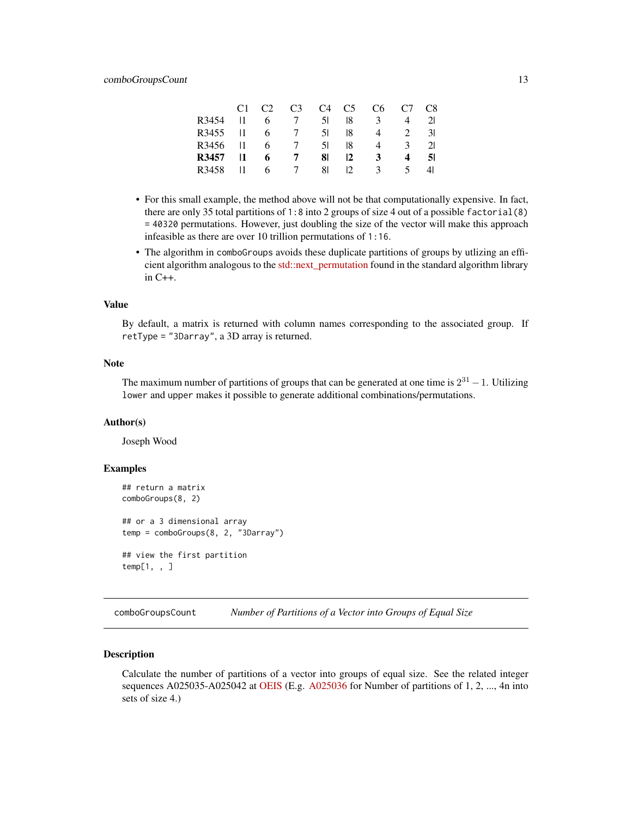<span id="page-12-0"></span>

|       | C <sub>1</sub> | C <sub>2</sub> | C <sub>3</sub> |      | $C4$ $C5$                 | C <sub>6</sub> | $C7 \t C8$    |    |
|-------|----------------|----------------|----------------|------|---------------------------|----------------|---------------|----|
| R3454 |                | 6              | $\mathcal{L}$  | 51 F | 18                        | 3              | 4             | 21 |
| R3455 |                | 6.             | $\overline{7}$ | 51   | 18.                       | 4              | 2             | 31 |
| R3456 |                | 6              | $\mathcal{L}$  | 51   | 18                        | 4              | $\mathcal{F}$ | 21 |
| R3457 |                | 6              | 7              | 81.  | $\mathsf{I}2$             | $\mathbf{3}$   | 4             | 51 |
| R3458 |                | 6.             | $\overline{7}$ | 81   | $\mathcal{D}_\mathcal{L}$ | $\mathcal{F}$  | 5             | 41 |

- For this small example, the method above will not be that computationally expensive. In fact, there are only 35 total partitions of 1:8 into 2 groups of size 4 out of a possible factorial  $(8)$ = 40320 permutations. However, just doubling the size of the vector will make this approach infeasible as there are over 10 trillion permutations of 1:16.
- The algorithm in comboGroups avoids these duplicate partitions of groups by utlizing an efficient algorithm analogous to the [std::next\\_permutation](https://en.cppreference.com/w/cpp/algorithm/next_permutation) found in the standard algorithm library in C++.

#### Value

By default, a matrix is returned with column names corresponding to the associated group. If retType = "3Darray", a 3D array is returned.

# Note

The maximum number of partitions of groups that can be generated at one time is  $2^{31} - 1$ . Utilizing lower and upper makes it possible to generate additional combinations/permutations.

#### Author(s)

Joseph Wood

#### Examples

```
## return a matrix
comboGroups(8, 2)
## or a 3 dimensional array
temp = comboGroups(8, 2, "3Darray")
## view the first partition
temp[1, , ]
```
comboGroupsCount *Number of Partitions of a Vector into Groups of Equal Size*

# **Description**

Calculate the number of partitions of a vector into groups of equal size. See the related integer sequences A025035-A025042 at [OEIS](https://oeis.org) (E.g. [A025036](https://oeis.org/A025036) for Number of partitions of 1, 2, ..., 4n into sets of size 4.)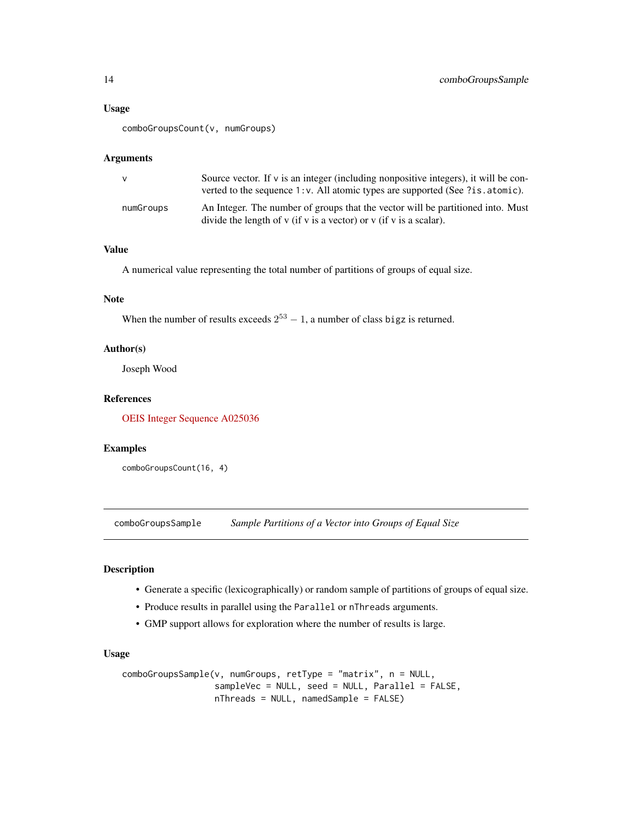# <span id="page-13-0"></span>Usage

comboGroupsCount(v, numGroups)

# Arguments

| <b>V</b>  | Source vector. If $\nu$ is an integer (including nonpositive integers), it will be con-<br>verted to the sequence 1: v. All atomic types are supported (See ?is.atomic). |
|-----------|--------------------------------------------------------------------------------------------------------------------------------------------------------------------------|
| numGroups | An Integer. The number of groups that the vector will be partitioned into. Must<br>divide the length of $v$ (if $v$ is a vector) or $v$ (if $v$ is a scalar).            |

# Value

A numerical value representing the total number of partitions of groups of equal size.

#### Note

When the number of results exceeds  $2^{53} - 1$ , a number of class bigz is returned.

#### Author(s)

Joseph Wood

# References

[OEIS Integer Sequence A025036](https://oeis.org/A025036)

# Examples

comboGroupsCount(16, 4)

comboGroupsSample *Sample Partitions of a Vector into Groups of Equal Size*

# Description

- Generate a specific (lexicographically) or random sample of partitions of groups of equal size.
- Produce results in parallel using the Parallel or nThreads arguments.
- GMP support allows for exploration where the number of results is large.

#### Usage

```
comboGroupsSample(v, numGroups, retType = "matrix", n = NULL,
                  sampleVec = NULL, seed = NULL, Parallel = FALSE,
                  nThreads = NULL, namedSample = FALSE)
```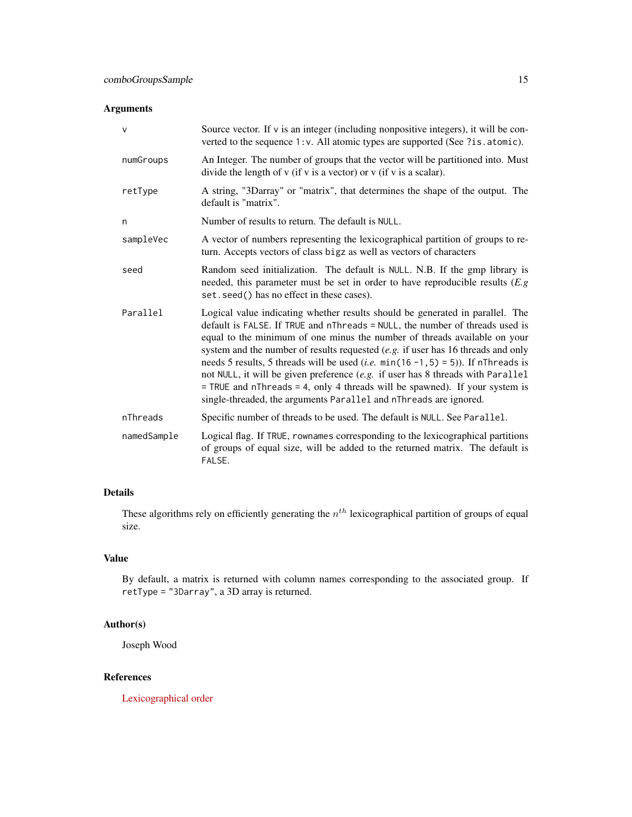# Arguments

| $\mathsf{V}$ | Source vector. If $\nu$ is an integer (including nonpositive integers), it will be con-<br>verted to the sequence 1: v. All atomic types are supported (See ?is.atomic).                                                                                                                                                                                                                                                                                                                                                                                                                                                                                                     |
|--------------|------------------------------------------------------------------------------------------------------------------------------------------------------------------------------------------------------------------------------------------------------------------------------------------------------------------------------------------------------------------------------------------------------------------------------------------------------------------------------------------------------------------------------------------------------------------------------------------------------------------------------------------------------------------------------|
| numGroups    | An Integer. The number of groups that the vector will be partitioned into. Must<br>divide the length of $v$ (if $v$ is a vector) or $v$ (if $v$ is a scalar).                                                                                                                                                                                                                                                                                                                                                                                                                                                                                                                |
| retType      | A string, "3Darray" or "matrix", that determines the shape of the output. The<br>default is "matrix".                                                                                                                                                                                                                                                                                                                                                                                                                                                                                                                                                                        |
| n            | Number of results to return. The default is NULL.                                                                                                                                                                                                                                                                                                                                                                                                                                                                                                                                                                                                                            |
| sampleVec    | A vector of numbers representing the lexicographical partition of groups to re-<br>turn. Accepts vectors of class bigz as well as vectors of characters                                                                                                                                                                                                                                                                                                                                                                                                                                                                                                                      |
| seed         | Random seed initialization. The default is NULL. N.B. If the gmp library is<br>needed, this parameter must be set in order to have reproducible results $(E, g)$<br>set. seed() has no effect in these cases).                                                                                                                                                                                                                                                                                                                                                                                                                                                               |
| Parallel     | Logical value indicating whether results should be generated in parallel. The<br>default is FALSE. If TRUE and nThreads = NULL, the number of threads used is<br>equal to the minimum of one minus the number of threads available on your<br>system and the number of results requested $(e.g.$ if user has 16 threads and only<br>needs 5 results, 5 threads will be used ( <i>i.e.</i> $min(16 - 1, 5) = 5$ )). If nThreads is<br>not NULL, it will be given preference (e.g. if user has 8 threads with Parallel<br>$=$ TRUE and nThreads $=$ 4, only 4 threads will be spawned). If your system is<br>single-threaded, the arguments Parallel and nThreads are ignored. |
| nThreads     | Specific number of threads to be used. The default is NULL. See Parallel.                                                                                                                                                                                                                                                                                                                                                                                                                                                                                                                                                                                                    |
| namedSample  | Logical flag. If TRUE, rownames corresponding to the lexicographical partitions<br>of groups of equal size, will be added to the returned matrix. The default is<br>FALSE.                                                                                                                                                                                                                                                                                                                                                                                                                                                                                                   |

# Details

These algorithms rely on efficiently generating the  $n^{th}$  lexicographical partition of groups of equal size.

# Value

By default, a matrix is returned with column names corresponding to the associated group. If retType = "3Darray", a 3D array is returned.

# Author(s)

Joseph Wood

# References

[Lexicographical order](https://en.wikipedia.org/wiki/Lexicographical_order)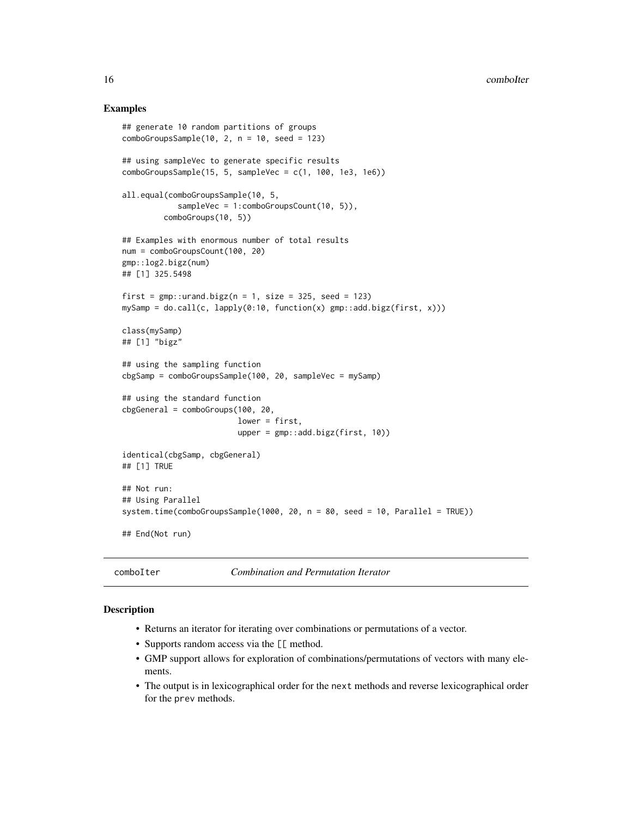#### <span id="page-15-0"></span>Examples

```
## generate 10 random partitions of groups
comboGroupsSample(10, 2, n = 10, seed = 123)## using sampleVec to generate specific results
comboGroupsSample(15, 5, sampleVec = c(1, 100, 1e3, 1e6))
all.equal(comboGroupsSample(10, 5,
            sampleVec = 1:comboGroupsCount(10, 5)),
        comboGroups(10, 5))
## Examples with enormous number of total results
num = comboGroupsCount(100, 20)
gmp::log2.bigz(num)
## [1] 325.5498
first = gmp::urand.bigz(n = 1, size = 325, seed = 123)mySamp = do-call(c, lapply(0:10, function(x) gmp::add.bigz(first, x)))class(mySamp)
## [1] "bigz"
## using the sampling function
cbgSamp = comboGroupsSample(100, 20, sampleVec = mySamp)
## using the standard function
cbgGeneral = comboGroups(100, 20,
                         lower = first,
                         upper = gmp::add.bigz(first, 10)identical(cbgSamp, cbgGeneral)
## [1] TRUE
## Not run:
## Using Parallel
system.time(comboGroupsSample(1000, 20, n = 80, seed = 10, Parallel = TRUE))
## End(Not run)
```
comboIter *Combination and Permutation Iterator*

#### **Description**

- Returns an iterator for iterating over combinations or permutations of a vector.
- Supports random access via the [[ method.
- GMP support allows for exploration of combinations/permutations of vectors with many elements.
- The output is in lexicographical order for the next methods and reverse lexicographical order for the prev methods.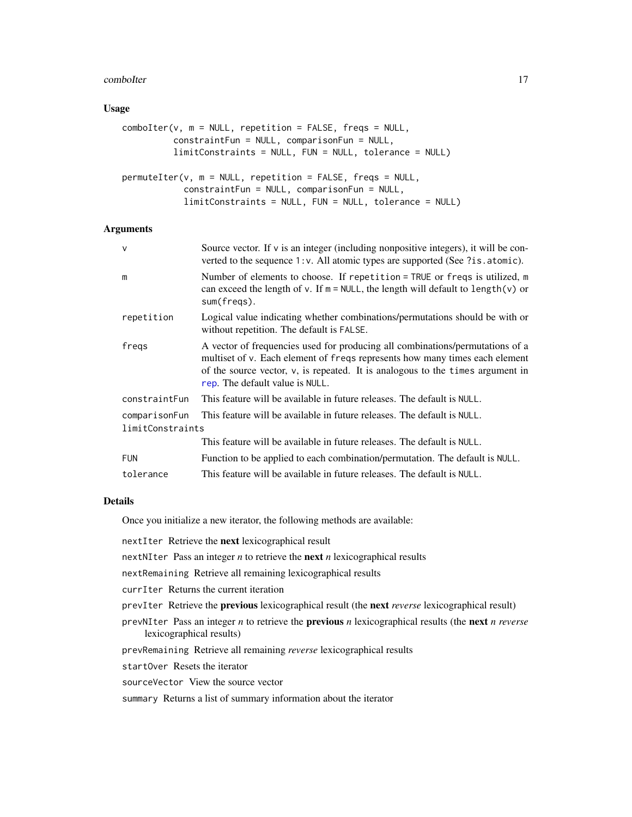#### <span id="page-16-0"></span>comboIter 17

#### Usage

```
comboIter(v, m = NULL, repetition = FALSE, freqs = NULL,constraintFun = NULL, comparisonFun = NULL,
          limitConstraints = NULL, FUN = NULL, tolerance = NULL)
permuteIter(v, m = NULL, repetition = FALSE, freqs = NULL,
```

```
constraintFun = NULL, comparisonFun = NULL,
limitConstraints = NULL, FUN = NULL, tolerance = NULL)
```
#### Arguments

| V                                 | Source vector. If v is an integer (including nonpositive integers), it will be con-<br>verted to the sequence 1: v. All atomic types are supported (See ?is.atomic).                                                                                                              |
|-----------------------------------|-----------------------------------------------------------------------------------------------------------------------------------------------------------------------------------------------------------------------------------------------------------------------------------|
| m                                 | Number of elements to choose. If repetition = TRUE or freqs is utilized, m<br>can exceed the length of v. If $m = NULL$ , the length will default to length(v) or<br>sum(freqs).                                                                                                  |
| repetition                        | Logical value indicating whether combinations/permutations should be with or<br>without repetition. The default is FALSE.                                                                                                                                                         |
| freqs                             | A vector of frequencies used for producing all combinations/permutations of a<br>multiset of v. Each element of freqs represents how many times each element<br>of the source vector, v, is repeated. It is analogous to the times argument in<br>rep. The default value is NULL. |
| constraintFun                     | This feature will be available in future releases. The default is NULL.                                                                                                                                                                                                           |
| comparisonFun<br>limitConstraints | This feature will be available in future releases. The default is NULL.                                                                                                                                                                                                           |
|                                   | This feature will be available in future releases. The default is NULL.                                                                                                                                                                                                           |
| <b>FUN</b>                        | Function to be applied to each combination/permutation. The default is NULL.                                                                                                                                                                                                      |
| tolerance                         | This feature will be available in future releases. The default is NULL.                                                                                                                                                                                                           |

#### Details

Once you initialize a new iterator, the following methods are available:

nextIter Retrieve the next lexicographical result

- nextNIter Pass an integer *n* to retrieve the next *n* lexicographical results
- nextRemaining Retrieve all remaining lexicographical results
- currIter Returns the current iteration
- prevIter Retrieve the previous lexicographical result (the next *reverse* lexicographical result)
- prevNIter Pass an integer *n* to retrieve the previous *n* lexicographical results (the next *n reverse* lexicographical results)
- prevRemaining Retrieve all remaining *reverse* lexicographical results
- startOver Resets the iterator
- sourceVector View the source vector
- summary Returns a list of summary information about the iterator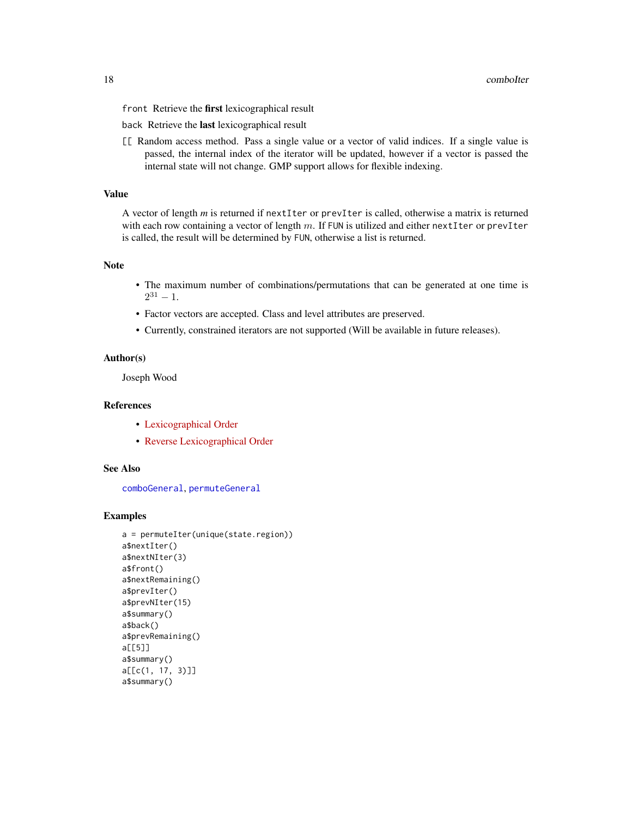<span id="page-17-0"></span>front Retrieve the first lexicographical result

back Retrieve the last lexicographical result

[[ Random access method. Pass a single value or a vector of valid indices. If a single value is passed, the internal index of the iterator will be updated, however if a vector is passed the internal state will not change. GMP support allows for flexible indexing.

# Value

A vector of length *m* is returned if nextIter or prevIter is called, otherwise a matrix is returned with each row containing a vector of length  $m$ . If FUN is utilized and either nextIter or prevIter is called, the result will be determined by FUN, otherwise a list is returned.

# Note

- The maximum number of combinations/permutations that can be generated at one time is  $2^{31} - 1.$
- Factor vectors are accepted. Class and level attributes are preserved.
- Currently, constrained iterators are not supported (Will be available in future releases).

# Author(s)

Joseph Wood

#### References

- [Lexicographical Order](https://en.wikipedia.org/wiki/Lexicographical_order)
- [Reverse Lexicographical Order](https://oeis.org/wiki/Orderings#Reverse_lexicographic_order)

#### See Also

[comboGeneral](#page-4-1), [permuteGeneral](#page-4-2)

```
a = permuteIter(unique(state.region))
a$nextIter()
a$nextNIter(3)
a$front()
a$nextRemaining()
a$prevIter()
a$prevNIter(15)
a$summary()
a$back()
a$prevRemaining()
a[[5]]
a$summary()
a[[c(1, 17, 3)]]
a$summary()
```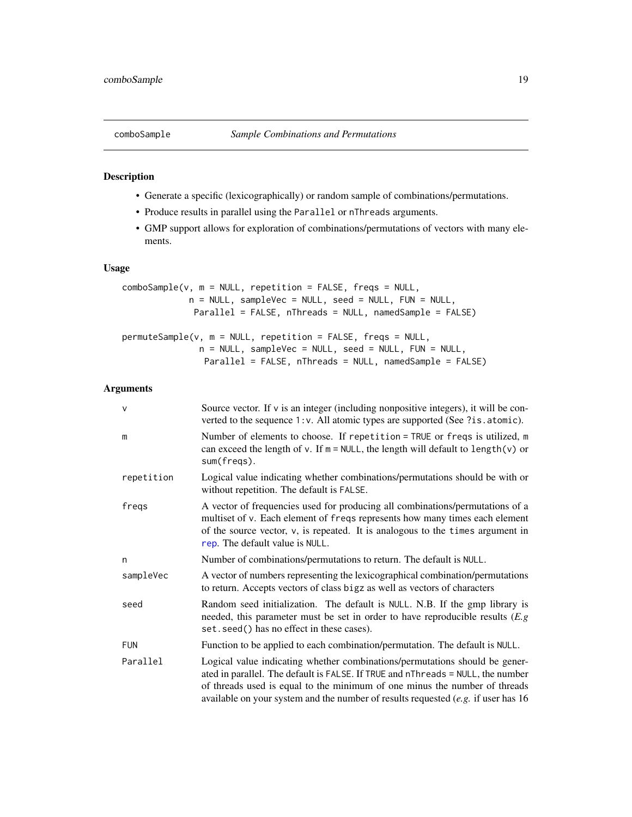<span id="page-18-0"></span>

# Description

- Generate a specific (lexicographically) or random sample of combinations/permutations.
- Produce results in parallel using the Parallel or nThreads arguments.
- GMP support allows for exploration of combinations/permutations of vectors with many elements.

# Usage

```
comboSample(v, m = NULL, repetition = FALSE, freqs = NULL,n = NULL, sampleVec = NULL, seed = NULL, FUN = NULL,
             Parallel = FALSE, nThreads = NULL, namedSample = FALSE)
permuteSample(v, m = NULL, repetition = FALSE, freqs = NULL,
              n = NULL, sampleVec = NULL, seed = NULL, FUN = NULL,
               Parallel = FALSE, nThreads = NULL, namedSample = FALSE)
```
# Arguments

| $\vee$     | Source vector. If $\nu$ is an integer (including nonpositive integers), it will be con-<br>verted to the sequence 1: v. All atomic types are supported (See ?is.atomic).                                                                                                                                                            |
|------------|-------------------------------------------------------------------------------------------------------------------------------------------------------------------------------------------------------------------------------------------------------------------------------------------------------------------------------------|
| m          | Number of elements to choose. If repetition = TRUE or freqs is utilized, m<br>can exceed the length of $v$ . If $m = NULL$ , the length will default to length( $v$ ) or<br>sum(freqs).                                                                                                                                             |
| repetition | Logical value indicating whether combinations/permutations should be with or<br>without repetition. The default is FALSE.                                                                                                                                                                                                           |
| freqs      | A vector of frequencies used for producing all combinations/permutations of a<br>multiset of v. Each element of freqs represents how many times each element<br>of the source vector, v, is repeated. It is analogous to the times argument in<br>rep. The default value is NULL.                                                   |
| n          | Number of combinations/permutations to return. The default is NULL.                                                                                                                                                                                                                                                                 |
| sampleVec  | A vector of numbers representing the lexicographical combination/permutations<br>to return. Accepts vectors of class bigz as well as vectors of characters                                                                                                                                                                          |
| seed       | Random seed initialization. The default is NULL. N.B. If the gmp library is<br>needed, this parameter must be set in order to have reproducible results $(E, g)$<br>set. seed() has no effect in these cases).                                                                                                                      |
| <b>FUN</b> | Function to be applied to each combination/permutation. The default is NULL.                                                                                                                                                                                                                                                        |
| Parallel   | Logical value indicating whether combinations/permutations should be gener-<br>ated in parallel. The default is FALSE. If TRUE and nThreads = NULL, the number<br>of threads used is equal to the minimum of one minus the number of threads<br>available on your system and the number of results requested $(e.g.$ if user has 16 |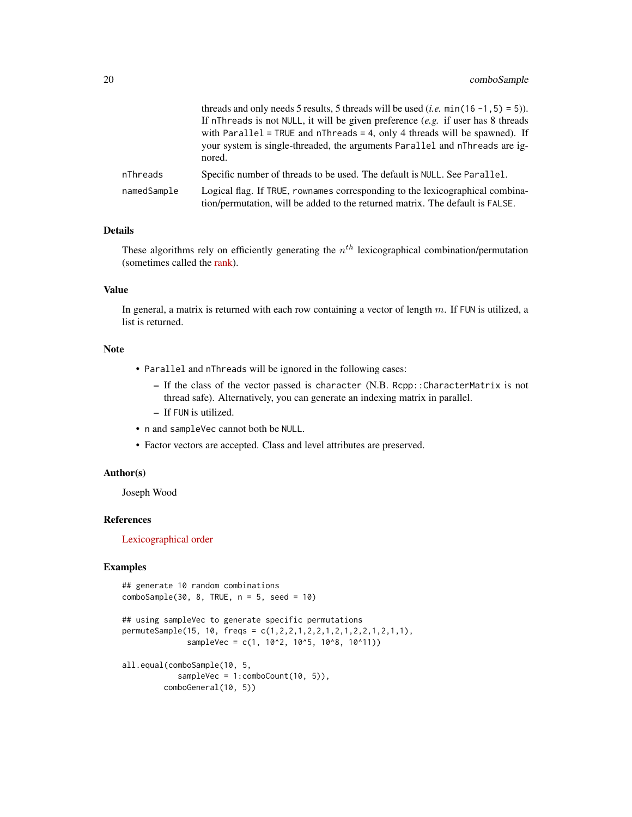|             | threads and only needs 5 results, 5 threads will be used ( <i>i.e.</i> min(16 -1, 5) = 5)).<br>If nThreads is not NULL, it will be given preference $(e.g.$ if user has 8 threads<br>with Parallel = TRUE and $n$ Threads = 4, only 4 threads will be spawned). If<br>your system is single-threaded, the arguments Parallel and nThreads are ig-<br>nored. |
|-------------|-------------------------------------------------------------------------------------------------------------------------------------------------------------------------------------------------------------------------------------------------------------------------------------------------------------------------------------------------------------|
| nThreads    | Specific number of threads to be used. The default is NULL. See Parallel.                                                                                                                                                                                                                                                                                   |
| namedSample | Logical flag. If TRUE, rownames corresponding to the lexicographical combina-<br>tion/permutation, will be added to the returned matrix. The default is FALSE.                                                                                                                                                                                              |

#### Details

These algorithms rely on efficiently generating the  $n^{th}$  lexicographical combination/permutation (sometimes called the [rank\)](https://rosettacode.org/wiki/Permutations/Rank_of_a_permutation).

# Value

In general, a matrix is returned with each row containing a vector of length  $m$ . If FUN is utilized, a list is returned.

#### Note

- Parallel and nThreads will be ignored in the following cases:
	- If the class of the vector passed is character (N.B. Rcpp::CharacterMatrix is not thread safe). Alternatively, you can generate an indexing matrix in parallel.
	- If FUN is utilized.
- n and sampleVec cannot both be NULL.
- Factor vectors are accepted. Class and level attributes are preserved.

# Author(s)

Joseph Wood

# References

[Lexicographical order](https://en.wikipedia.org/wiki/Lexicographical_order)

```
## generate 10 random combinations
comboSample(30, 8, TRUE, n = 5, seed = 10)
```

```
## using sampleVec to generate specific permutations
permuteSample(15, 10, freqs = c(1,2,2,1,2,2,1,2,1,2,2,1,2,1,1),
             sampleVec = c(1, 10^2, 10^5, 10^8, 10^11)
```

```
all.equal(comboSample(10, 5,
           sampleVec = 1:comboCount(10, 5)),
        comboGeneral(10, 5))
```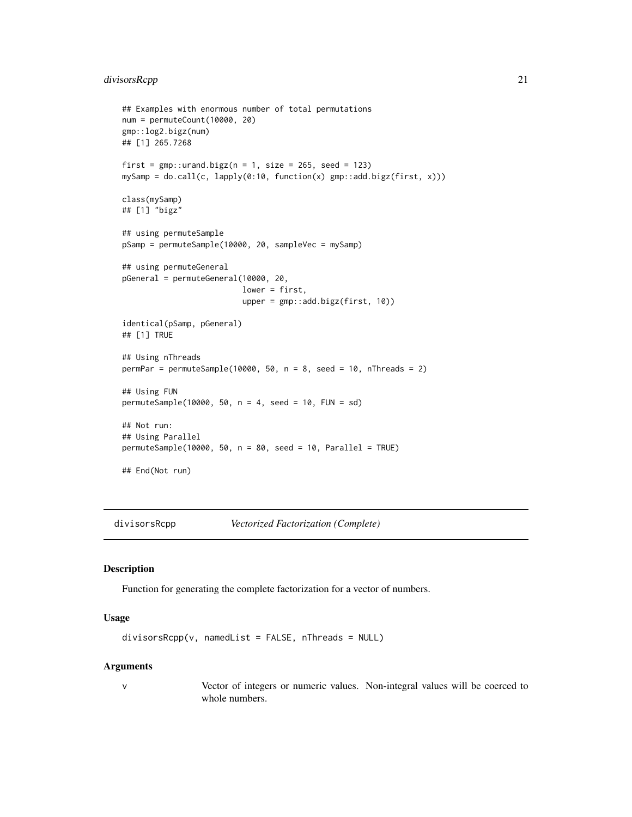# <span id="page-20-0"></span>divisorsRcpp 21

```
## Examples with enormous number of total permutations
num = permuteCount(10000, 20)
gmp::log2.bigz(num)
## [1] 265.7268
first = gmp::urand.bigz(n = 1, size = 265, seed = 123)mySamp = do.call(c, lapply(0:10, function(x) gmp::add.bigz(first, x)))
class(mySamp)
## [1] "bigz"
## using permuteSample
pSamp = permuteSample(10000, 20, sampleVec = mySamp)
## using permuteGeneral
pGeneral = permuteGeneral(10000, 20,
                          lower = first,
                          upper = gmp::add.bigz(first, 10))
identical(pSamp, pGeneral)
## [1] TRUE
## Using nThreads
permPar = permuteSample(10000, 50, n = 8, seed = 10, nThreads = 2)
## Using FUN
permuteSample(10000, 50, n = 4, seed = 10, FUN = sd)
## Not run:
## Using Parallel
permuteSample(10000, 50, n = 80, seed = 10, Parallel = TRUE)
## End(Not run)
```
<span id="page-20-1"></span>divisorsRcpp *Vectorized Factorization (Complete)*

#### Description

Function for generating the complete factorization for a vector of numbers.

#### Usage

```
divisorsRep(v, namedList = FALSE, nThread = NULL)
```
#### Arguments

v Vector of integers or numeric values. Non-integral values will be coerced to whole numbers.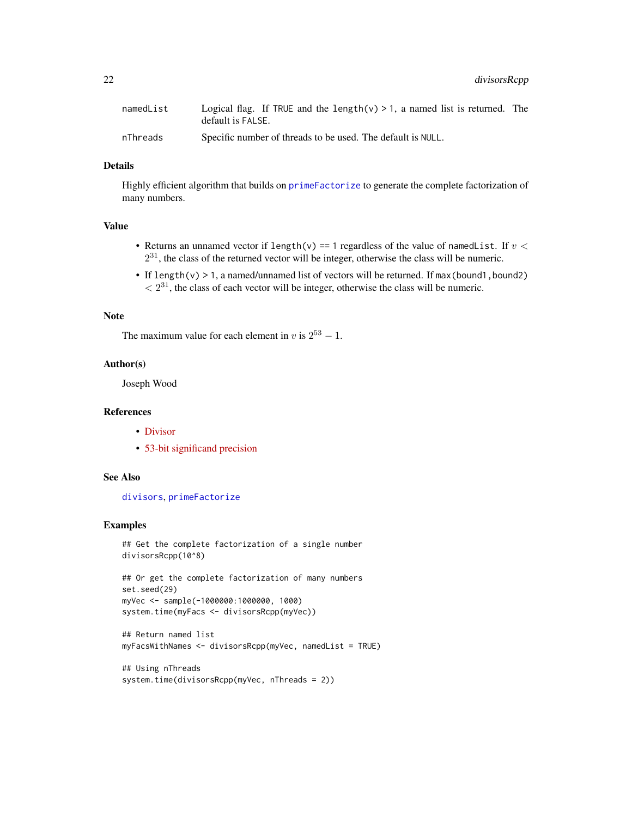<span id="page-21-0"></span>

| namedList | Logical flag. If TRUE and the length( $v$ ) > 1, a named list is returned. The |  |
|-----------|--------------------------------------------------------------------------------|--|
|           | default is FALSE.                                                              |  |
| nThreads  | Specific number of threads to be used. The default is NULL.                    |  |

#### Details

Highly efficient algorithm that builds on [primeFactorize](#page-30-1) to generate the complete factorization of many numbers.

# Value

- Returns an unnamed vector if length(v) == 1 regardless of the value of namedList. If  $v <$  $2^{31}$ , the class of the returned vector will be integer, otherwise the class will be numeric.
- If length(v)  $> 1$ , a named/unnamed list of vectors will be returned. If max(bound1, bound2)  $\langle 2^{31}$ , the class of each vector will be integer, otherwise the class will be numeric.

#### Note

The maximum value for each element in v is  $2^{53} - 1$ .

#### Author(s)

Joseph Wood

# References

- [Divisor](https://en.wikipedia.org/wiki/Divisor)
- [53-bit significand precision](https://en.wikipedia.org/wiki/Double-precision_floating-point_format)

# See Also

[divisors](#page-0-0), [primeFactorize](#page-30-1)

```
## Get the complete factorization of a single number
divisorsRcpp(10^8)
```

```
## Or get the complete factorization of many numbers
set.seed(29)
myVec <- sample(-1000000:1000000, 1000)
system.time(myFacs <- divisorsRcpp(myVec))
```

```
## Return named list
myFacsWithNames <- divisorsRcpp(myVec, namedList = TRUE)
```

```
## Using nThreads
system.time(divisorsRcpp(myVec, nThreads = 2))
```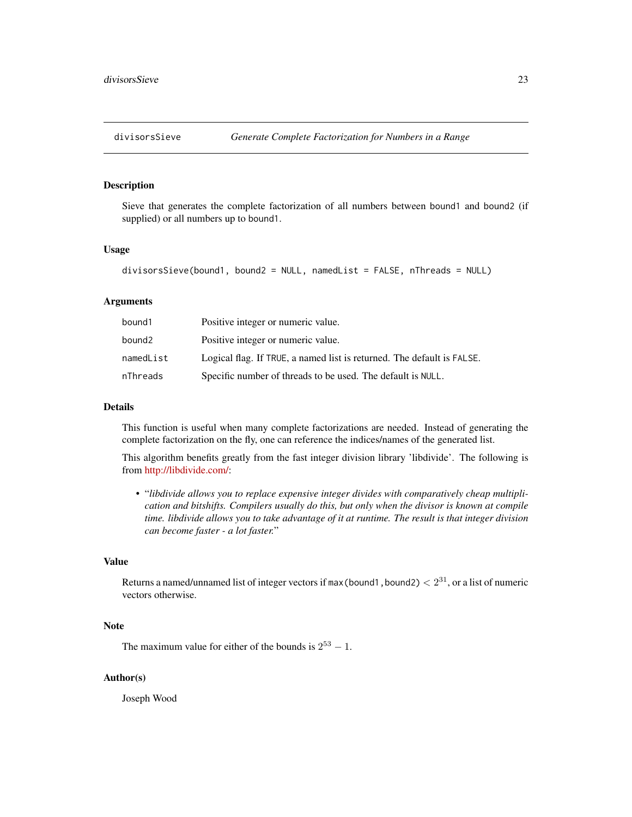<span id="page-22-1"></span><span id="page-22-0"></span>

# Description

Sieve that generates the complete factorization of all numbers between bound1 and bound2 (if supplied) or all numbers up to bound1.

#### Usage

```
divisorsSieve(bound1, bound2 = NULL, namedList = FALSE, nThreads = NULL)
```
#### Arguments

| bound1    | Positive integer or numeric value.                                     |
|-----------|------------------------------------------------------------------------|
| bound2    | Positive integer or numeric value.                                     |
| namedList | Logical flag. If TRUE, a named list is returned. The default is FALSE. |
| nThreads  | Specific number of threads to be used. The default is NULL.            |

#### Details

This function is useful when many complete factorizations are needed. Instead of generating the complete factorization on the fly, one can reference the indices/names of the generated list.

This algorithm benefits greatly from the fast integer division library 'libdivide'. The following is from [http://libdivide.com/:](http://libdivide.com/)

• "*libdivide allows you to replace expensive integer divides with comparatively cheap multiplication and bitshifts. Compilers usually do this, but only when the divisor is known at compile time. libdivide allows you to take advantage of it at runtime. The result is that integer division can become faster - a lot faster.*"

# Value

Returns a named/unnamed list of integer vectors if max (bound1, bound2)  $< 2^{31}$ , or a list of numeric vectors otherwise.

#### Note

The maximum value for either of the bounds is  $2^{53} - 1$ .

#### Author(s)

Joseph Wood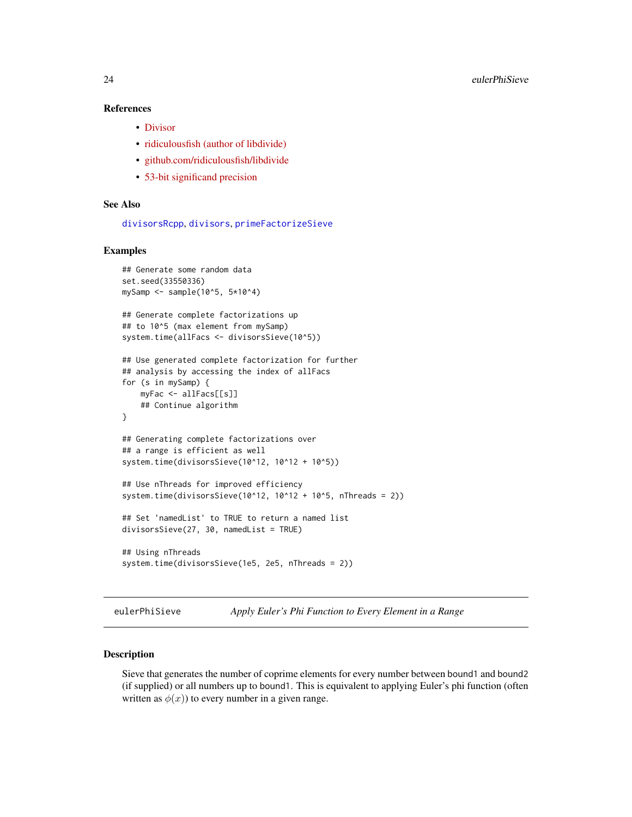# References

- [Divisor](https://en.wikipedia.org/wiki/Divisor)
- [ridiculousfish \(author of libdivide\)](http://ridiculousfish.com/)
- [github.com/ridiculousfish/libdivide](https://github.com/ridiculousfish/libdivide)
- [53-bit significand precision](https://en.wikipedia.org/wiki/Double-precision_floating-point_format)

# See Also

[divisorsRcpp](#page-20-1), [divisors](#page-0-0), [primeFactorizeSieve](#page-32-1)

# Examples

```
## Generate some random data
set.seed(33550336)
mySamp \le sample(10^5, 5*10^4)
## Generate complete factorizations up
## to 10^5 (max element from mySamp)
system.time(allFacs <- divisorsSieve(10^5))
## Use generated complete factorization for further
## analysis by accessing the index of allFacs
for (s in mySamp) {
   myFac <- allFacs[[s]]
    ## Continue algorithm
}
## Generating complete factorizations over
## a range is efficient as well
system.time(divisorsSieve(10^12, 10^12 + 10^5))
## Use nThreads for improved efficiency
system.time(divisorsSieve(10^12, 10^12 + 10^5, nThreads = 2))
## Set 'namedList' to TRUE to return a named list
divisorsSieve(27, 30, namedList = TRUE)
## Using nThreads
system.time(divisorsSieve(1e5, 2e5, nThreads = 2))
```
eulerPhiSieve *Apply Euler's Phi Function to Every Element in a Range*

# Description

Sieve that generates the number of coprime elements for every number between bound1 and bound2 (if supplied) or all numbers up to bound1. This is equivalent to applying Euler's phi function (often written as  $\phi(x)$ ) to every number in a given range.

<span id="page-23-0"></span>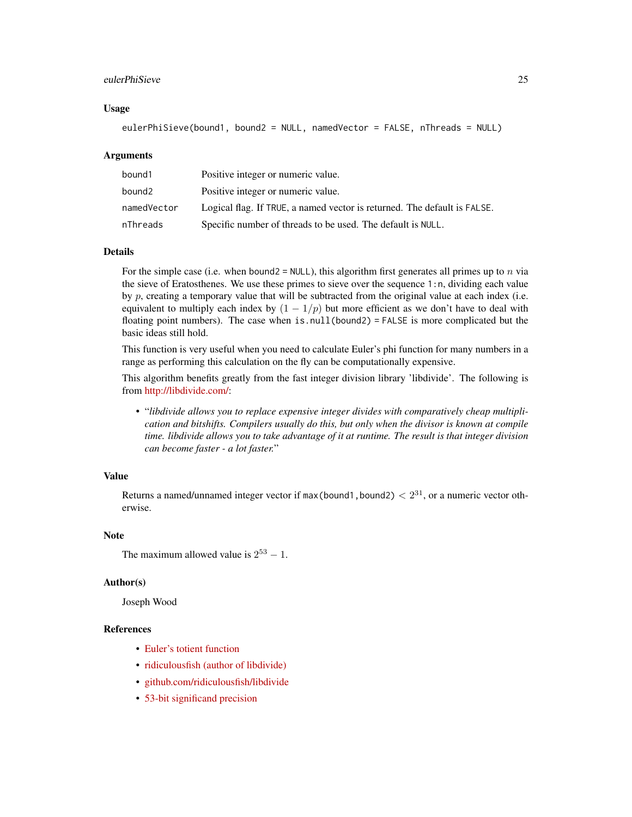# eulerPhiSieve 25

#### Usage

```
eulerPhiSieve(bound1, bound2 = NULL, namedVector = FALSE, nThreads = NULL)
```
#### Arguments

| bound1      | Positive integer or numeric value.                                       |
|-------------|--------------------------------------------------------------------------|
| bound2      | Positive integer or numeric value.                                       |
| namedVector | Logical flag. If TRUE, a named vector is returned. The default is FALSE. |
| nThreads    | Specific number of threads to be used. The default is NULL.              |

# Details

For the simple case (i.e. when bound2 = NULL), this algorithm first generates all primes up to n via the sieve of Eratosthenes. We use these primes to sieve over the sequence 1:n, dividing each value by  $p$ , creating a temporary value that will be subtracted from the original value at each index (i.e. equivalent to multiply each index by  $(1 - 1/p)$  but more efficient as we don't have to deal with floating point numbers). The case when is.null(bound2) = FALSE is more complicated but the basic ideas still hold.

This function is very useful when you need to calculate Euler's phi function for many numbers in a range as performing this calculation on the fly can be computationally expensive.

This algorithm benefits greatly from the fast integer division library 'libdivide'. The following is from [http://libdivide.com/:](http://libdivide.com/)

• "*libdivide allows you to replace expensive integer divides with comparatively cheap multiplication and bitshifts. Compilers usually do this, but only when the divisor is known at compile time. libdivide allows you to take advantage of it at runtime. The result is that integer division can become faster - a lot faster.*"

#### Value

Returns a named/unnamed integer vector if max (bound1, bound2)  $< 2^{31}$ , or a numeric vector otherwise.

#### **Note**

```
The maximum allowed value is 2^{53} - 1.
```
#### Author(s)

Joseph Wood

# References

- [Euler's totient function](https://en.wikipedia.org/wiki/Euler%27s_totient_function)
- [ridiculousfish \(author of libdivide\)](http://ridiculousfish.com/)
- [github.com/ridiculousfish/libdivide](https://github.com/ridiculousfish/libdivide)
- [53-bit significand precision](https://en.wikipedia.org/wiki/Double-precision_floating-point_format)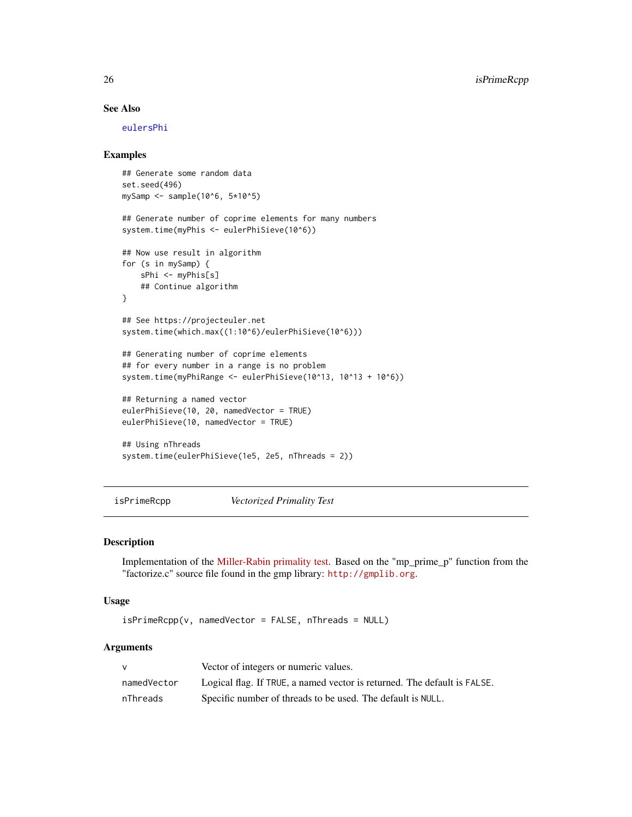# See Also

[eulersPhi](#page-0-0)

# Examples

```
## Generate some random data
set.seed(496)
mySamp \le - sample(10^6, 5*10^5)
## Generate number of coprime elements for many numbers
system.time(myPhis <- eulerPhiSieve(10^6))
## Now use result in algorithm
for (s in mySamp) {
   sPhi <- myPhis[s]
   ## Continue algorithm
}
## See https://projecteuler.net
system.time(which.max((1:10^6)/eulerPhiSieve(10^6)))
## Generating number of coprime elements
## for every number in a range is no problem
system.time(myPhiRange <- eulerPhiSieve(10^13, 10^13 + 10^6))
## Returning a named vector
eulerPhiSieve(10, 20, namedVector = TRUE)
eulerPhiSieve(10, namedVector = TRUE)
## Using nThreads
system.time(eulerPhiSieve(1e5, 2e5, nThreads = 2))
```
<span id="page-25-1"></span>isPrimeRcpp *Vectorized Primality Test*

#### Description

Implementation of the [Miller-Rabin primality test.](https://en.wikipedia.org/wiki/Miller-Rabin_primality_test) Based on the "mp\_prime\_p" function from the "factorize.c" source file found in the gmp library: <http://gmplib.org>.

#### Usage

isPrimeRcpp(v, namedVector = FALSE, nThreads = NULL)

#### Arguments

|             | Vector of integers or numeric values.                                    |
|-------------|--------------------------------------------------------------------------|
| namedVector | Logical flag. If TRUE, a named vector is returned. The default is FALSE. |
| nThreads    | Specific number of threads to be used. The default is NULL.              |

<span id="page-25-0"></span>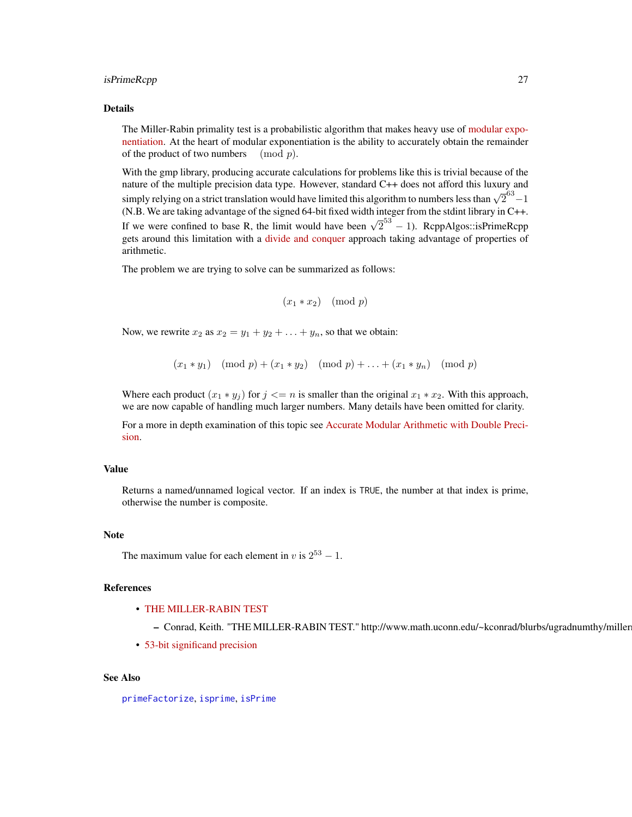#### <span id="page-26-0"></span>isPrimeRcpp 27

#### Details

The Miller-Rabin primality test is a probabilistic algorithm that makes heavy use of [modular expo](https://en.wikipedia.org/wiki/Modular_exponentiation)[nentiation.](https://en.wikipedia.org/wiki/Modular_exponentiation) At the heart of modular exponentiation is the ability to accurately obtain the remainder of the product of two numbers  $\pmod{p}$ .

With the gmp library, producing accurate calculations for problems like this is trivial because of the nature of the multiple precision data type. However, standard C++ does not afford this luxury and simply relying on a strict translation would have limited this algorithm to numbers less than  $\sqrt{2}^{63} - 1$ (N.B. We are taking advantage of the signed 64-bit fixed width integer from the stdint library in C++. If we were confined to base R, the limit would have been  $\sqrt{2}^{53} - 1$ ). RcppAlgos::isPrimeRcpp gets around this limitation with a [divide and conquer](https://en.wikipedia.org/wiki/Divide_and_conquer_algorithm) approach taking advantage of properties of arithmetic.

The problem we are trying to solve can be summarized as follows:

```
(x_1 * x_2) \pmod{p}
```
Now, we rewrite  $x_2$  as  $x_2 = y_1 + y_2 + \ldots + y_n$ , so that we obtain:

 $(x_1 * y_1) \pmod{p} + (x_1 * y_2) \pmod{p} + \ldots + (x_1 * y_n) \pmod{p}$ 

Where each product  $(x_1 * y_j)$  for  $j \le n$  is smaller than the original  $x_1 * x_2$ . With this approach, we are now capable of handling much larger numbers. Many details have been omitted for clarity.

For a more in depth examination of this topic see [Accurate Modular Arithmetic with Double Preci](https://codereview.stackexchange.com/questions/186751/accurate-modular-arithmetic-with-double-precision)[sion.](https://codereview.stackexchange.com/questions/186751/accurate-modular-arithmetic-with-double-precision)

#### Value

Returns a named/unnamed logical vector. If an index is TRUE, the number at that index is prime, otherwise the number is composite.

#### Note

The maximum value for each element in v is  $2^{53} - 1$ .

# References

- [THE MILLER-RABIN TEST](http://www.math.uconn.edu/~kconrad/blurbs/ugradnumthy/millerrabin.pdf)
	- Conrad, Keith. "THE MILLER-RABIN TEST." http://www.math.uconn.edu/~kconrad/blurbs/ugradnumthy/miller
- [53-bit significand precision](https://en.wikipedia.org/wiki/Double-precision_floating-point_format)

#### See Also

[primeFactorize](#page-30-1), [isprime](#page-0-0), [isPrime](#page-0-0)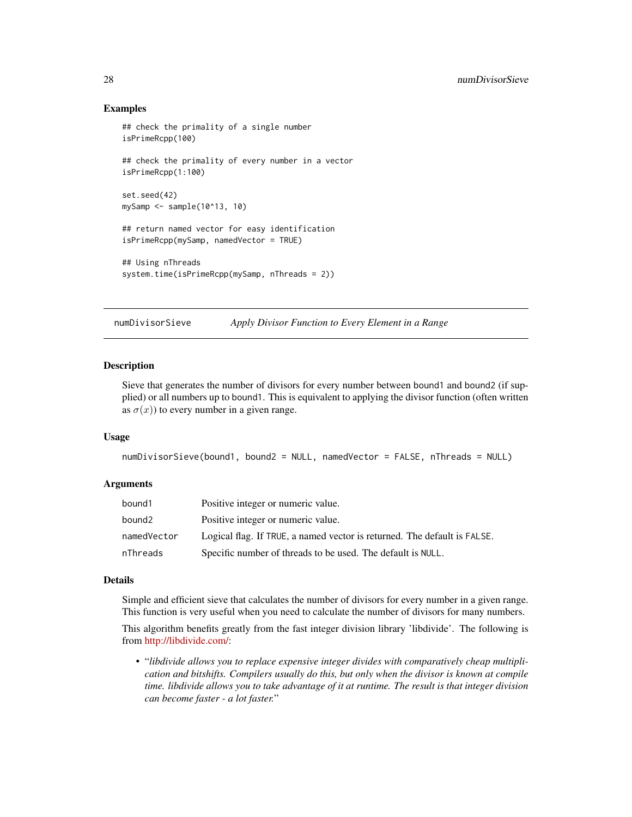# Examples

```
## check the primality of a single number
isPrimeRcpp(100)
## check the primality of every number in a vector
isPrimeRcpp(1:100)
set.seed(42)
mySamp <- sample(10^13, 10)
## return named vector for easy identification
isPrimeRcpp(mySamp, namedVector = TRUE)
## Using nThreads
system.time(isPrimeRcpp(mySamp, nThreads = 2))
```
numDivisorSieve *Apply Divisor Function to Every Element in a Range*

#### Description

Sieve that generates the number of divisors for every number between bound1 and bound2 (if supplied) or all numbers up to bound1. This is equivalent to applying the divisor function (often written as  $\sigma(x)$ ) to every number in a given range.

#### Usage

```
numDivisorSieve(bound1, bound2 = NULL, namedVector = FALSE, nThreads = NULL)
```
#### Arguments

| bound1      | Positive integer or numeric value.                                       |
|-------------|--------------------------------------------------------------------------|
| bound2      | Positive integer or numeric value.                                       |
| namedVector | Logical flag. If TRUE, a named vector is returned. The default is FALSE. |
| nThreads    | Specific number of threads to be used. The default is NULL.              |

#### Details

Simple and efficient sieve that calculates the number of divisors for every number in a given range. This function is very useful when you need to calculate the number of divisors for many numbers.

This algorithm benefits greatly from the fast integer division library 'libdivide'. The following is from [http://libdivide.com/:](http://libdivide.com/)

• "*libdivide allows you to replace expensive integer divides with comparatively cheap multiplication and bitshifts. Compilers usually do this, but only when the divisor is known at compile time. libdivide allows you to take advantage of it at runtime. The result is that integer division can become faster - a lot faster.*"

<span id="page-27-0"></span>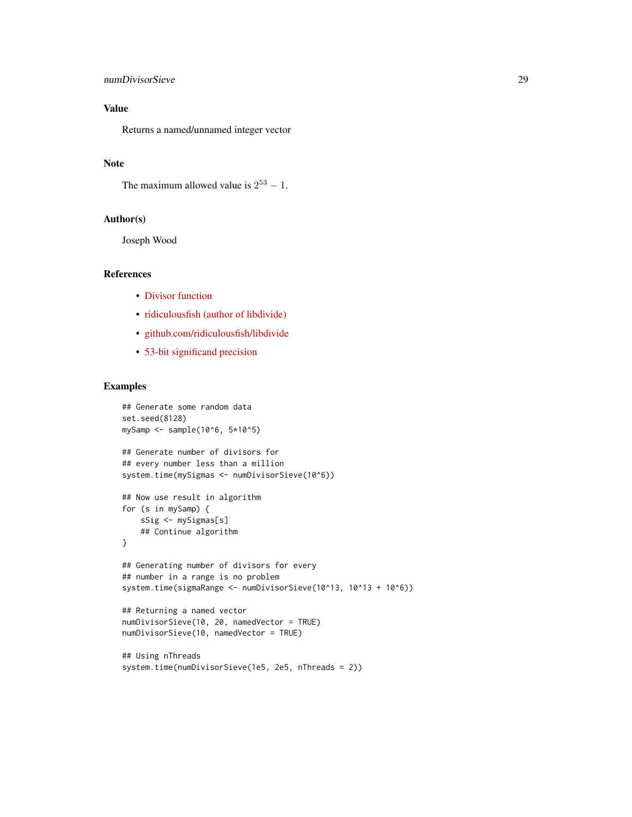# numDivisorSieve 29

# Value

Returns a named/unnamed integer vector

# Note

The maximum allowed value is  $2^{53} - 1$ .

# Author(s)

Joseph Wood

#### References

- [Divisor function](https://en.wikipedia.org/wiki/Divisor_function)
- [ridiculousfish \(author of libdivide\)](http://ridiculousfish.com/)
- [github.com/ridiculousfish/libdivide](https://github.com/ridiculousfish/libdivide)
- [53-bit significand precision](https://en.wikipedia.org/wiki/Double-precision_floating-point_format)

```
## Generate some random data
set.seed(8128)
mySamp <- sample(10^6, 5*10^5)
## Generate number of divisors for
## every number less than a million
system.time(mySigmas <- numDivisorSieve(10^6))
## Now use result in algorithm
for (s in mySamp) {
   sSig <- mySigmas[s]
   ## Continue algorithm
}
## Generating number of divisors for every
## number in a range is no problem
system.time(sigmaRange <- numDivisorSieve(10^13, 10^13 + 10^6))
## Returning a named vector
numDivisorSieve(10, 20, namedVector = TRUE)
numDivisorSieve(10, namedVector = TRUE)
```

```
## Using nThreads
system.time(numDivisorSieve(1e5, 2e5, nThreads = 2))
```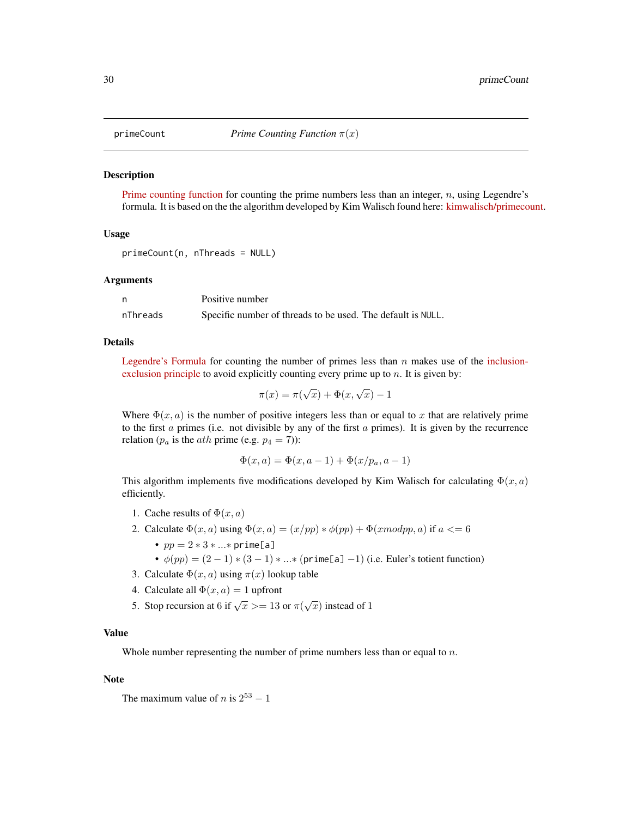<span id="page-29-0"></span>

#### Description

[Prime counting function](https://en.wikipedia.org/wiki/Prime-counting_function) for counting the prime numbers less than an integer,  $n$ , using Legendre's formula. It is based on the the algorithm developed by Kim Walisch found here: [kimwalisch/primecount.](https://github.com/kimwalisch/primecount)

#### Usage

```
primeCount(n, nThreads = NULL)
```
#### Arguments

|          | Positive number                                             |
|----------|-------------------------------------------------------------|
| nThreads | Specific number of threads to be used. The default is NULL. |

#### Details

[Legendre's Formula](http://mathworld.wolfram.com/LegendresFormula.html) for counting the number of primes less than  $n$  makes use of the [inclusion](https://en.wikipedia.org/wiki/Inclusion-exclusion_principle)[exclusion principle](https://en.wikipedia.org/wiki/Inclusion-exclusion_principle) to avoid explicitly counting every prime up to  $n$ . It is given by:

$$
\pi(x) = \pi(\sqrt{x}) + \Phi(x, \sqrt{x}) - 1
$$

Where  $\Phi(x, a)$  is the number of positive integers less than or equal to x that are relatively prime to the first  $\alpha$  primes (i.e. not divisible by any of the first  $\alpha$  primes). It is given by the recurrence relation ( $p_a$  is the *ath* prime (e.g.  $p_4 = 7$ )):

$$
\Phi(x, a) = \Phi(x, a - 1) + \Phi(x/p_a, a - 1)
$$

This algorithm implements five modifications developed by Kim Walisch for calculating  $\Phi(x, a)$ efficiently.

- 1. Cache results of  $\Phi(x, a)$
- 2. Calculate  $\Phi(x, a)$  using  $\Phi(x, a) = (x/pp) * \phi(pp) + \Phi(xmodpp, a)$  if  $a \leq 6$ 
	- $pp = 2 * 3 * ... * prime[a]$
	- $\phi(pp) = (2-1) * (3-1) * ... * (prime[a] -1)$  (i.e. Euler's totient function)
- 3. Calculate  $\Phi(x, a)$  using  $\pi(x)$  lookup table
- 4. Calculate all  $\Phi(x, a) = 1$  upfront
- 5. Stop recursion at 6 if  $\sqrt{x}$  >= 13 or  $\pi(\sqrt{x})$  instead of 1

# Value

Whole number representing the number of prime numbers less than or equal to  $n$ .

#### Note

```
The maximum value of n is 2^{53} - 1
```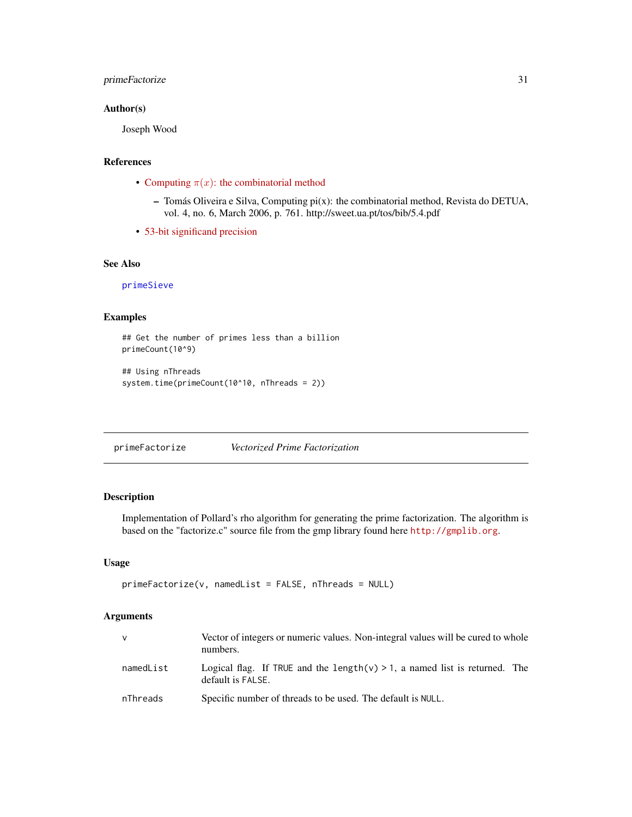# <span id="page-30-0"></span>primeFactorize 31

# Author(s)

Joseph Wood

# References

- Computing  $\pi(x)$ [: the combinatorial method](http://sweet.ua.pt/tos/bib/5.4.pdf)
	- Tomás Oliveira e Silva, Computing pi(x): the combinatorial method, Revista do DETUA, vol. 4, no. 6, March 2006, p. 761. http://sweet.ua.pt/tos/bib/5.4.pdf
- [53-bit significand precision](https://en.wikipedia.org/wiki/Double-precision_floating-point_format)

# See Also

[primeSieve](#page-33-1)

# Examples

```
## Get the number of primes less than a billion
primeCount(10^9)
```

```
## Using nThreads
system.time(primeCount(10^10, nThreads = 2))
```
<span id="page-30-1"></span>primeFactorize *Vectorized Prime Factorization*

# Description

Implementation of Pollard's rho algorithm for generating the prime factorization. The algorithm is based on the "factorize.c" source file from the gmp library found here <http://gmplib.org>.

#### Usage

```
primeFactorize(v, namedList = FALSE, nThreads = NULL)
```
### Arguments

| <b>V</b>  | Vector of integers or numeric values. Non-integral values will be cured to whole<br>numbers.        |
|-----------|-----------------------------------------------------------------------------------------------------|
| namedList | Logical flag. If TRUE and the length( $v$ ) > 1, a named list is returned. The<br>default is FALSE. |
| nThreads  | Specific number of threads to be used. The default is NULL.                                         |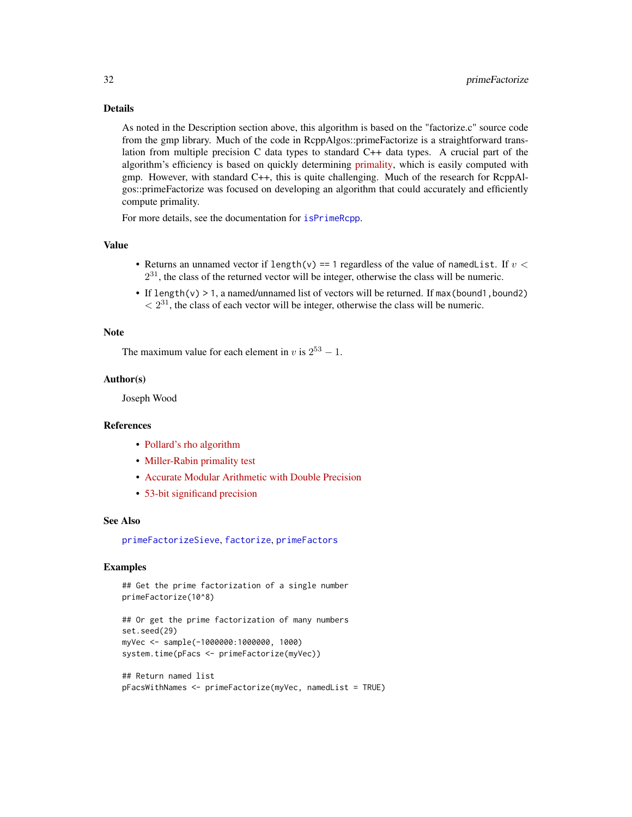# <span id="page-31-0"></span>Details

As noted in the Description section above, this algorithm is based on the "factorize.c" source code from the gmp library. Much of the code in RcppAlgos::primeFactorize is a straightforward translation from multiple precision C data types to standard C++ data types. A crucial part of the algorithm's efficiency is based on quickly determining [primality,](https://en.wikipedia.org/wiki/Primality_test) which is easily computed with gmp. However, with standard C++, this is quite challenging. Much of the research for RcppAlgos::primeFactorize was focused on developing an algorithm that could accurately and efficiently compute primality.

For more details, see the documentation for [isPrimeRcpp](#page-25-1).

#### Value

- Returns an unnamed vector if length(v) == 1 regardless of the value of namedList. If  $v <$  $2^{31}$ , the class of the returned vector will be integer, otherwise the class will be numeric.
- If length(v)  $> 1$ , a named/unnamed list of vectors will be returned. If max(bound1, bound2)  $\langle 2^{31}$ , the class of each vector will be integer, otherwise the class will be numeric.

#### Note

The maximum value for each element in v is  $2^{53} - 1$ .

# Author(s)

Joseph Wood

# References

- [Pollard's rho algorithm](https://en.wikipedia.org/wiki/Pollard%27s_rho_algorithm)
- [Miller-Rabin primality test](https://en.wikipedia.org/wiki/Miller-Rabin_primality_test)
- [Accurate Modular Arithmetic with Double Precision](https://codereview.stackexchange.com/questions/186751/accurate-modular-arithmetic-with-double-precision)
- [53-bit significand precision](https://en.wikipedia.org/wiki/Double-precision_floating-point_format)

# See Also

[primeFactorizeSieve](#page-32-1), [factorize](#page-0-0), [primeFactors](#page-0-0)

```
## Get the prime factorization of a single number
primeFactorize(10^8)
```

```
## Or get the prime factorization of many numbers
set.seed(29)
myVec <- sample(-1000000:1000000, 1000)
system.time(pFacs <- primeFactorize(myVec))
```

```
## Return named list
pFacsWithNames <- primeFactorize(myVec, namedList = TRUE)
```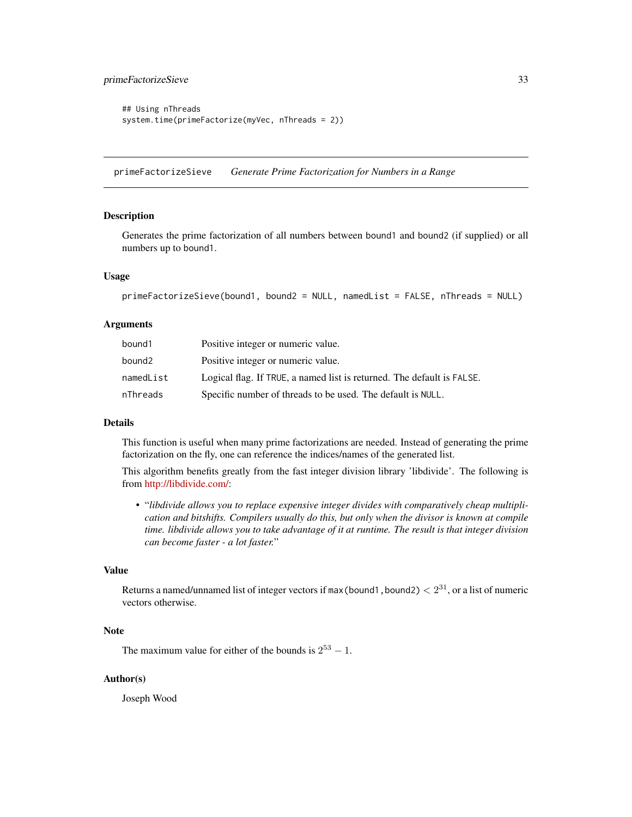# <span id="page-32-0"></span>primeFactorizeSieve 33

```
## Using nThreads
system.time(primeFactorize(myVec, nThreads = 2))
```
<span id="page-32-1"></span>primeFactorizeSieve *Generate Prime Factorization for Numbers in a Range*

#### Description

Generates the prime factorization of all numbers between bound1 and bound2 (if supplied) or all numbers up to bound1.

# Usage

```
primeFactorizeSieve(bound1, bound2 = NULL, namedList = FALSE, nThreads = NULL)
```
# **Arguments**

| bound1    | Positive integer or numeric value.                                     |
|-----------|------------------------------------------------------------------------|
| bound2    | Positive integer or numeric value.                                     |
| namedList | Logical flag. If TRUE, a named list is returned. The default is FALSE. |
| nThreads  | Specific number of threads to be used. The default is NULL.            |

#### Details

This function is useful when many prime factorizations are needed. Instead of generating the prime factorization on the fly, one can reference the indices/names of the generated list.

This algorithm benefits greatly from the fast integer division library 'libdivide'. The following is from [http://libdivide.com/:](http://libdivide.com/)

• "*libdivide allows you to replace expensive integer divides with comparatively cheap multiplication and bitshifts. Compilers usually do this, but only when the divisor is known at compile time. libdivide allows you to take advantage of it at runtime. The result is that integer division can become faster - a lot faster.*"

#### Value

Returns a named/unnamed list of integer vectors if max (bound1, bound2)  $< 2^{31}$ , or a list of numeric vectors otherwise.

# Note

The maximum value for either of the bounds is  $2^{53} - 1$ .

#### Author(s)

Joseph Wood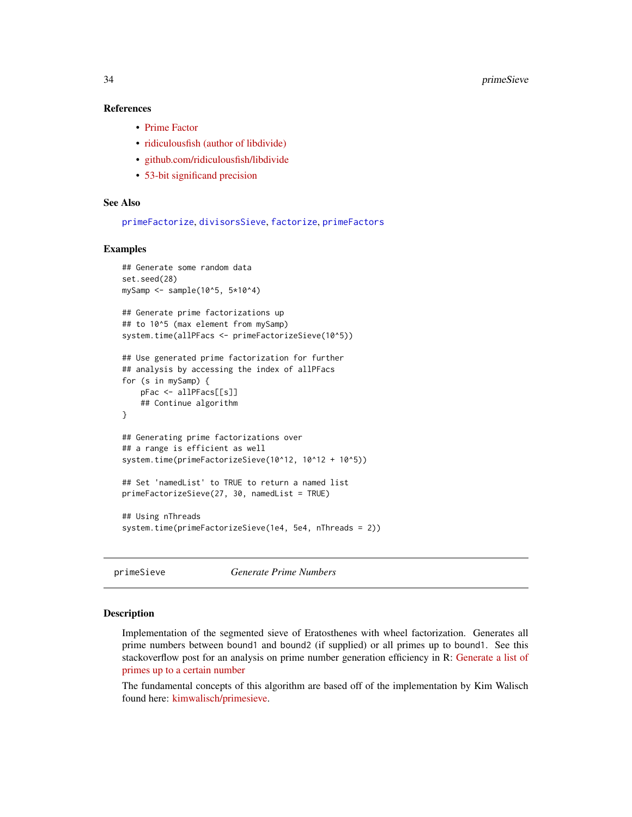#### <span id="page-33-0"></span>References

- [Prime Factor](https://en.wikipedia.org/wiki/Prime_factor)
- [ridiculousfish \(author of libdivide\)](http://ridiculousfish.com/)
- [github.com/ridiculousfish/libdivide](https://github.com/ridiculousfish/libdivide)
- [53-bit significand precision](https://en.wikipedia.org/wiki/Double-precision_floating-point_format)

# See Also

[primeFactorize](#page-30-1), [divisorsSieve](#page-22-1), [factorize](#page-0-0), [primeFactors](#page-0-0)

# Examples

```
## Generate some random data
set.seed(28)
mySamp <- sample(10^5, 5*10^4)
## Generate prime factorizations up
## to 10^5 (max element from mySamp)
system.time(allPFacs <- primeFactorizeSieve(10^5))
## Use generated prime factorization for further
## analysis by accessing the index of allPFacs
for (s in mySamp) {
   pFac <- allPFacs[[s]]
    ## Continue algorithm
}
## Generating prime factorizations over
## a range is efficient as well
system.time(primeFactorizeSieve(10^12, 10^12 + 10^5))
## Set 'namedList' to TRUE to return a named list
primeFactorizeSieve(27, 30, namedList = TRUE)
## Using nThreads
system.time(primeFactorizeSieve(1e4, 5e4, nThreads = 2))
```
<span id="page-33-1"></span>primeSieve *Generate Prime Numbers*

#### Description

Implementation of the segmented sieve of Eratosthenes with wheel factorization. Generates all prime numbers between bound1 and bound2 (if supplied) or all primes up to bound1. See this stackoverflow post for an analysis on prime number generation efficiency in R: [Generate a list of](https://stackoverflow.com/a/48313378/4408538) [primes up to a certain number](https://stackoverflow.com/a/48313378/4408538)

The fundamental concepts of this algorithm are based off of the implementation by Kim Walisch found here: [kimwalisch/primesieve.](https://github.com/kimwalisch/primesieve)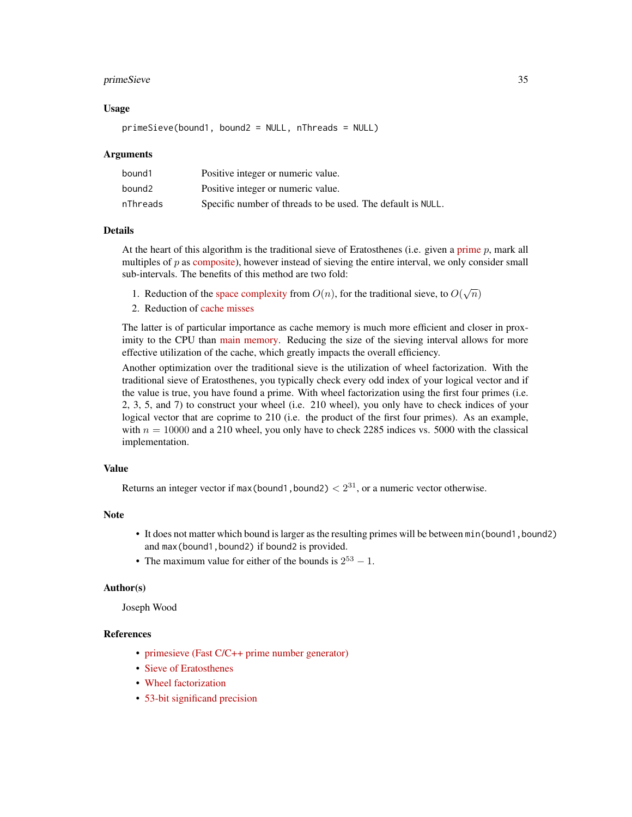#### primeSieve 35

#### Usage

primeSieve(bound1, bound2 = NULL, nThreads = NULL)

## Arguments

| bound1   | Positive integer or numeric value.                          |
|----------|-------------------------------------------------------------|
| bound2   | Positive integer or numeric value.                          |
| nThreads | Specific number of threads to be used. The default is NULL. |

#### Details

At the heart of this algorithm is the traditional sieve of Eratosthenes (i.e. given a [prime](https://en.wikipedia.org/wiki/Prime_number)  $p$ , mark all multiples of  $p$  as [composite\)](https://en.wikipedia.org/wiki/Composite_number), however instead of sieving the entire interval, we only consider small sub-intervals. The benefits of this method are two fold:

- 1. Reduction of the [space complexity](https://en.wikipedia.org/wiki/DSPACE) from  $O(n)$ , for the traditional sieve, to  $O(\sqrt{n})$
- 2. Reduction of [cache misses](https://en.wikipedia.org/wiki/CPU_cache#Cache_miss)

The latter is of particular importance as cache memory is much more efficient and closer in proximity to the CPU than [main memory.](https://en.wikipedia.org/wiki/Computer_data_storage#Primary_storage) Reducing the size of the sieving interval allows for more effective utilization of the cache, which greatly impacts the overall efficiency.

Another optimization over the traditional sieve is the utilization of wheel factorization. With the traditional sieve of Eratosthenes, you typically check every odd index of your logical vector and if the value is true, you have found a prime. With wheel factorization using the first four primes (i.e. 2, 3, 5, and 7) to construct your wheel (i.e. 210 wheel), you only have to check indices of your logical vector that are coprime to 210 (i.e. the product of the first four primes). As an example, with  $n = 10000$  and a 210 wheel, you only have to check 2285 indices vs. 5000 with the classical implementation.

#### Value

Returns an integer vector if max(bound1, bound2)  $\langle 2^{31}$ , or a numeric vector otherwise.

#### Note

- It does not matter which bound is larger as the resulting primes will be between min(bound1, bound2) and max(bound1,bound2) if bound2 is provided.
- The maximum value for either of the bounds is  $2^{53} 1$ .

#### Author(s)

Joseph Wood

# References

- [primesieve \(Fast C/C++ prime number generator\)](https://primesieve.org)
- [Sieve of Eratosthenes](https://en.wikipedia.org/wiki/Sieve_of_Eratosthenes)
- [Wheel factorization](https://en.wikipedia.org/wiki/Wheel_factorization)
- [53-bit significand precision](https://en.wikipedia.org/wiki/Double-precision_floating-point_format)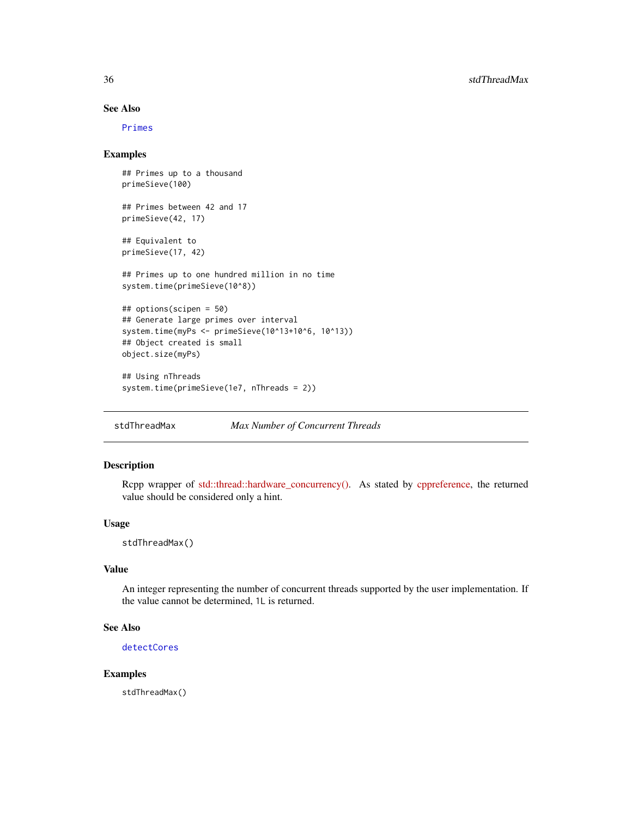# See Also

[Primes](#page-0-0)

# Examples

```
## Primes up to a thousand
primeSieve(100)
## Primes between 42 and 17
primeSieve(42, 17)
## Equivalent to
primeSieve(17, 42)
## Primes up to one hundred million in no time
system.time(primeSieve(10^8))
## options(scipen = 50)
## Generate large primes over interval
system.time(myPs <- primeSieve(10^13+10^6, 10^13))
## Object created is small
object.size(myPs)
## Using nThreads
system.time(primeSieve(1e7, nThreads = 2))
```
stdThreadMax *Max Number of Concurrent Threads*

# Description

Rcpp wrapper of [std::thread::hardware\\_concurrency\(\).](https://en.cppreference.com/w/cpp/thread/thread/hardware_concurrency) As stated by [cppreference,](https://en.cppreference.com/w/) the returned value should be considered only a hint.

#### Usage

stdThreadMax()

## Value

An integer representing the number of concurrent threads supported by the user implementation. If the value cannot be determined, 1L is returned.

# See Also

[detectCores](#page-0-0)

#### Examples

stdThreadMax()

<span id="page-35-0"></span>